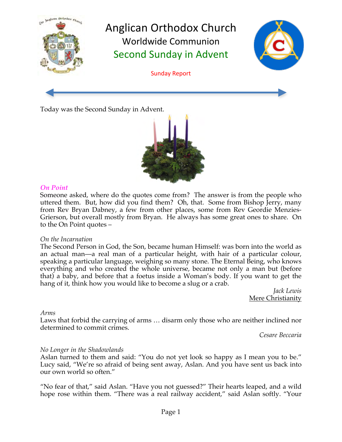

Today was the Second Sunday in Advent.



## *On Point*

Someone asked, where do the quotes come from? The answer is from the people who uttered them. But, how did you find them? Oh, that. Some from Bishop Jerry, many from Rev Bryan Dabney, a few from other places, some from Rev Geordie Menzies-Grierson, but overall mostly from Bryan. He always has some great ones to share. On to the On Point quotes –

## *On the Incarnation*

The Second Person in God, the Son, became human Himself: was born into the world as an actual man—a real man of a particular height, with hair of a particular colour, speaking a particular language, weighing so many stone. The Eternal Being, who knows everything and who created the whole universe, became not only a man but (before that) a baby, and before that a foetus inside a Woman's body. If you want to get the hang of it, think how you would like to become a slug or a crab.

*Jack Lewis* Mere Christianity

## *Arms*

Laws that forbid the carrying of arms … disarm only those who are neither inclined nor determined to commit crimes.

*Cesare Beccaria*

# *No Longer in the Shadowlands*

Aslan turned to them and said: "You do not yet look so happy as I mean you to be." Lucy said, "We're so afraid of being sent away, Aslan. And you have sent us back into our own world so often."

"No fear of that," said Aslan. "Have you not guessed?" Their hearts leaped, and a wild hope rose within them. "There was a real railway accident," said Aslan softly. "Your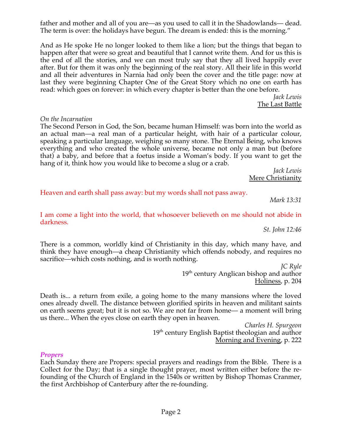father and mother and all of you are—as you used to call it in the Shadowlands— dead. The term is over: the holidays have begun. The dream is ended: this is the morning."

And as He spoke He no longer looked to them like a lion; but the things that began to happen after that were so great and beautiful that I cannot write them. And for us this is the end of all the stories, and we can most truly say that they all lived happily ever after. But for them it was only the beginning of the real story. All their life in this world and all their adventures in Narnia had only been the cover and the title page: now at last they were beginning Chapter One of the Great Story which no one on earth has read: which goes on forever: in which every chapter is better than the one before.

*Jack Lewis* The Last Battle

#### *On the Incarnation*

The Second Person in God, the Son, became human Himself: was born into the world as an actual man—a real man of a particular height, with hair of a particular colour, speaking a particular language, weighing so many stone. The Eternal Being, who knows everything and who created the whole universe, became not only a man but (before that) a baby, and before that a foetus inside a Woman's body. If you want to get the hang of it, think how you would like to become a slug or a crab.

*Jack Lewis* Mere Christianity

Heaven and earth shall pass away: but my words shall not pass away.

*Mark 13:31*

I am come a light into the world, that whosoever believeth on me should not abide in darkness.

*St. John 12:46*

There is a common, worldly kind of Christianity in this day, which many have, and think they have enough—a cheap Christianity which offends nobody, and requires no sacrifice—which costs nothing, and is worth nothing.

> *JC Ryle* 19<sup>th</sup> century Anglican bishop and author Holiness, p. 204

Death is... a return from exile, a going home to the many mansions where the loved ones already dwell. The distance between glorified spirits in heaven and militant saints on earth seems great; but it is not so. We are not far from home— a moment will bring us there... When the eyes close on earth they open in heaven.

*Charles H. Spurgeon* 19<sup>th</sup> century English Baptist theologian and author Morning and Evening, p. 222

### *Propers*

Each Sunday there are Propers: special prayers and readings from the Bible. There is a Collect for the Day; that is a single thought prayer, most written either before the refounding of the Church of England in the 1540s or written by Bishop Thomas Cranmer, the first Archbishop of Canterbury after the re-founding.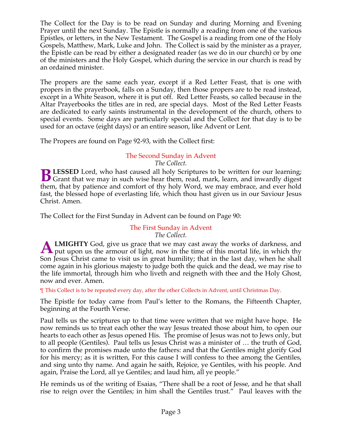The Collect for the Day is to be read on Sunday and during Morning and Evening Prayer until the next Sunday. The Epistle is normally a reading from one of the various Epistles, or letters, in the New Testament. The Gospel is a reading from one of the Holy Gospels, Matthew, Mark, Luke and John. The Collect is said by the minister as a prayer, the Epistle can be read by either a designated reader (as we do in our church) or by one of the ministers and the Holy Gospel, which during the service in our church is read by an ordained minister.

The propers are the same each year, except if a Red Letter Feast, that is one with propers in the prayerbook, falls on a Sunday, then those propers are to be read instead, except in a White Season, where it is put off. Red Letter Feasts, so called because in the Altar Prayerbooks the titles are in red, are special days. Most of the Red Letter Feasts are dedicated to early saints instrumental in the development of the church, others to special events. Some days are particularly special and the Collect for that day is to be used for an octave (eight days) or an entire season, like Advent or Lent.

The Propers are found on Page 92-93, with the Collect first:

# The Second Sunday in Advent

*The Collect.*

**LESSED** Lord, who hast caused all holy Scriptures to be written for our learning; **B** LESSED Lord, who hast caused all holy Scriptures to be written for our learning;<br>Grant that we may in such wise hear them, read, mark, learn, and inwardly digest them, that by patience and comfort of thy holy Word, we may embrace, and ever hold fast, the blessed hope of everlasting life, which thou hast given us in our Saviour Jesus Christ. Amen.

The Collect for the First Sunday in Advent can be found on Page 90:

#### The First Sunday in Advent *The Collect.*

**LMIGHTY** God, give us grace that we may cast away the works of darkness, and **A LMIGHTY** God, give us grace that we may cast away the works of darkness, and put upon us the armour of light, now in the time of this mortal life, in which thy Son Jesus Christ came to visit us in great humility; that in the last day, when he shall come again in his glorious majesty to judge both the quick and the dead, we may rise to the life immortal, through him who liveth and reigneth with thee and the Holy Ghost, now and ever. Amen.

¶ This Collect is to be repeated every day, after the other Collects in Advent, until Christmas Day.

The Epistle for today came from Paul's letter to the Romans, the Fifteenth Chapter, beginning at the Fourth Verse.

Paul tells us the scriptures up to that time were written that we might have hope. He now reminds us to treat each other the way Jesus treated those about him, to open our hearts to each other as Jesus opened His. The promise of Jesus was not to Jews only, but to all people (Gentiles). Paul tells us Jesus Christ was a minister of … the truth of God, to confirm the promises made unto the fathers: and that the Gentiles might glorify God for his mercy; as it is written, For this cause I will confess to thee among the Gentiles, and sing unto thy name. And again he saith, Rejoice, ye Gentiles, with his people. And again, Praise the Lord, all ye Gentiles; and laud him, all ye people."

He reminds us of the writing of Esaias, "There shall be a root of Jesse, and he that shall rise to reign over the Gentiles; in him shall the Gentiles trust." Paul leaves with the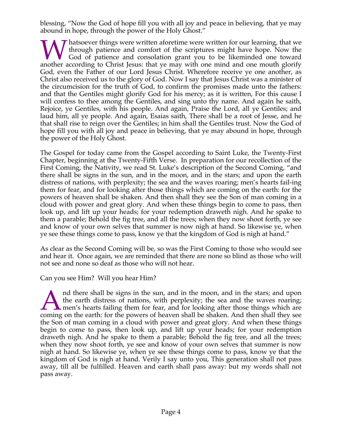blessing, "Now the God of hope fill you with all joy and peace in believing, that ye may abound in hope, through the power of the Holy Ghost."

**T** hatsoever things were written aforetime were written for our learning, that we through patience and comfort of the scriptures might have hope. Now the God of patience and consolation grant you to be likeminded one toward **A** hatsoever things were written aforetime were written for our learning, that we through patience and comfort of the scriptures might have hope. Now the God of patience and consolation grant you to be likeminded one towa God, even the Father of our Lord Jesus Christ. Wherefore receive ye one another, as Christ also received us to the glory of God. Now I say that Jesus Christ was a minister of the circumcision for the truth of God, to confirm the promises made unto the fathers: and that the Gentiles might glorify God for his mercy; as it is written, For this cause I will confess to thee among the Gentiles, and sing unto thy name. And again he saith, Rejoice, ye Gentiles, with his people. And again, Praise the Lord, all ye Gentiles; and laud him, all ye people. And again, Esaias saith, There shall be a root of Jesse, and he that shall rise to reign over the Gentiles; in him shall the Gentiles trust. Now the God of hope fill you with all joy and peace in believing, that ye may abound in hope, through the power of the Holy Ghost.

The Gospel for today came from the Gospel according to Saint Luke, the Twenty-First Chapter, beginning at the Twenty-Fifth Verse. In preparation for our recollection of the First Coming, the Nativity, we read St. Luke's description of the Second Coming, "and there shall be signs in the sun, and in the moon, and in the stars; and upon the earth distress of nations, with perplexity; the sea and the waves roaring; men's hearts fail-ing them for fear, and for looking after those things which are coming on the earth: for the powers of heaven shall be shaken. And then shall they see the Son of man coming in a cloud with power and great glory. And when these things begin to come to pass, then look up, and lift up your heads; for your redemption draweth nigh. And he spake to them a parable; Behold the fig tree, and all the trees; when they now shoot forth, ye see and know of your own selves that summer is now nigh at hand. So likewise ye, when ye see these things come to pass, know ye that the kingdom of God is nigh at hand."

As clear as the Second Coming will be, so was the First Coming to those who would see and hear it. Once again, we are reminded that there are none so blind as those who will not see and none so deaf as those who will not hear.

Can you see Him? Will you hear Him?

nd there shall be signs in the sun, and in the moon, and in the stars; and upon the earth distress of nations, with perplexity; the sea and the waves roaring; men's hearts failing them for fear, and for looking after those things which are coming on the earth: for the powers of heaven shall be shaken. And then shall they see the Son of man coming in a cloud with power and great glory. And when these things begin to come to pass, then look up, and lift up your heads; for your redemption draweth nigh. And he spake to them a parable; Behold the fig tree, and all the trees; when they now shoot forth, ye see and know of your own selves that summer is now nigh at hand. So likewise ye, when ye see these things come to pass, know ye that the kingdom of God is nigh at hand. Verily I say unto you, This generation shall not pass away, till all be fulfilled. Heaven and earth shall pass away: but my words shall not pass away.  $\overline{\mathbf{A}}$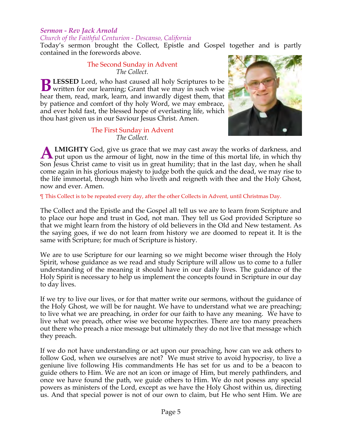#### *Sermon - Rev Jack Arnold Church of the Faithful Centurion - Descanso, California*

Today's sermon brought the Collect, Epistle and Gospel together and is partly contained in the forewords above.

#### The Second Sunday in Advent *The Collect.*

**LESSED** Lord, who hast caused all holy Scriptures to be **B** LESSED Lord, who hast caused all holy Scriptures to be written for our learning; Grant that we may in such wise hear them, read, mark, learn, and inwardly digest them, that by patience and comfort of thy holy Word, we may embrace, and ever hold fast, the blessed hope of everlasting life, which thou hast given us in our Saviour Jesus Christ. Amen.

#### The First Sunday in Advent *The Collect.*



**LMIGHTY** God, give us grace that we may cast away the works of darkness, and put upon us the armour of light, now in the time of this mortal life, in which thy Son Jesus Christ came to visit us in great humility; that in the last day, when he shall come again in his glorious majesty to judge both the quick and the dead, we may rise to the life immortal, through him who liveth and reigneth with thee and the Holy Ghost, now and ever. Amen. **A**

¶ This Collect is to be repeated every day, after the other Collects in Advent, until Christmas Day.

The Collect and the Epistle and the Gospel all tell us we are to learn from Scripture and to place our hope and trust in God, not man. They tell us God provided Scripture so that we might learn from the history of old believers in the Old and New testament. As the saying goes, if we do not learn from history we are doomed to repeat it. It is the same with Scripture; for much of Scripture is history.

We are to use Scripture for our learning so we might become wiser through the Holy Spirit, whose guidance as we read and study Scripture will allow us to come to a fuller understanding of the meaning it should have in our daily lives. The guidance of the Holy Spirit is necessary to help us implement the concepts found in Scripture in our day to day lives.

If we try to live our lives, or for that matter write our sermons, without the guidance of the Holy Ghost, we will be for naught. We have to understand what we are preaching; to live what we are preaching, in order for our faith to have any meaning. We have to live what we preach, other wise we become hypocrites. There are too many preachers out there who preach a nice message but ultimately they do not live that message which they preach.

If we do not have understanding or act upon our preaching, how can we ask others to follow God, when we ourselves are not? We must strive to avoid hypocrisy, to live a geniune live following His commandments He has set for us and to be a beacon to guide others to Him. We are not an icon or image of Him, but merely pathfinders, and once we have found the path, we guide others to Him. We do not posess any special powers as ministers of the Lord, except as we have the Holy Ghost within us, directing us. And that special power is not of our own to claim, but He who sent Him. We are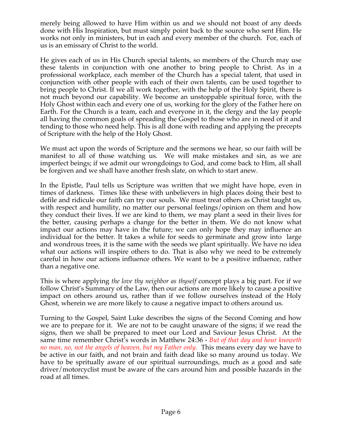merely being allowed to have Him within us and we should not boast of any deeds done with His Inspiration, but must simply point back to the source who sent Him. He works not only in ministers, but in each and every member of the church. For, each of us is an emissary of Christ to the world.

He gives each of us in His Church special talents, so members of the Church may use these talents in conjunction with one another to bring people to Christ. As in a professional workplace, each member of the Church has a special talent, that used in conjunction with other people with each of their own talents, can be used together to bring people to Christ. If we all work together, with the help of the Holy Spirit, there is not much beyond our capability. We become an unstoppable spiritual force, with the Holy Ghost within each and every one of us, working for the glory of the Father here on Earth. For the Church is a team, each and everyone in it, the clergy and the lay people all having the common goals of spreading the Gospel to those who are in need of it and tending to those who need help. This is all done with reading and applying the precepts of Scripture with the help of the Holy Ghost.

We must act upon the words of Scripture and the sermons we hear, so our faith will be manifest to all of those watching us. We will make mistakes and sin, as we are imperfect beings; if we admit our wrongdoings to God, and come back to Him, all shall be forgiven and we shall have another fresh slate, on which to start anew.

In the Epistle, Paul tells us Scripture was written that we might have hope, even in times of darkness. Times like these with unbelievers in high places doing their best to defile and ridicule our faith can try our souls. We must treat others as Christ taught us, with respect and humility, no matter our personal feelings/opinion on them and how they conduct their lives. If we are kind to them, we may plant a seed in their lives for the better, causing perhaps a change for the better in them. We do not know what impact our actions may have in the future; we can only hope they may influence an individual for the better. It takes a while for seeds to germinate and grow into large and wondrous trees, it is the same with the seeds we plant spiritually. We have no idea what our actions will inspire others to do. That is also why we need to be extremely careful in how our actions influence others. We want to be a positive influence, rather than a negative one.

This is where applying *the love thy neighbor as thyself* concept plays a big part. For if we follow Christ's Summary of the Law, then our actions are more likely to cause a positive impact on others around us, rather than if we follow ourselves instead of the Holy Ghost, wherein we are more likely to cause a negative impact to others around us.

Turning to the Gospel, Saint Luke describes the signs of the Second Coming and how we are to prepare for it. We are not to be caught unaware of the signs; if we read the signs, then we shall be prepared to meet our Lord and Saviour Jesus Christ. At the same time remember Christ's words in Matthew 24:36 - *But of that day and hour knoweth no man, no, not the angels of heaven, but my Father only.* This means every day we have to be active in our faith, and not brain and faith dead like so many around us today. We have to be spritually aware of our spiritual surroundings, much as a good and safe driver/motorcyclist must be aware of the cars around him and possible hazards in the road at all times.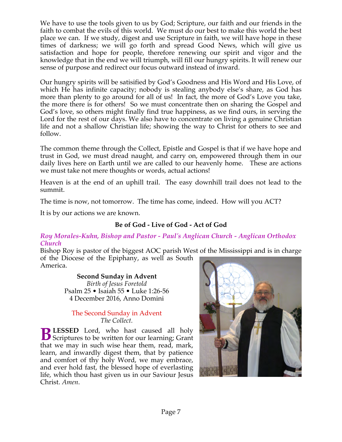We have to use the tools given to us by God; Scripture, our faith and our friends in the faith to combat the evils of this world. We must do our best to make this world the best place we can. If we study, digest and use Scripture in faith, we will have hope in these times of darkness; we will go forth and spread Good News, which will give us satisfaction and hope for people, therefore renewing our spirit and vigor and the knowledge that in the end we will triumph, will fill our hungry spirits. It will renew our sense of purpose and redirect our focus outward instead of inward.

Our hungry spirits will be satisified by God's Goodness and His Word and His Love, of which He has infinite capacity; nobody is stealing anybody else's share, as God has more than plenty to go around for all of us! In fact, the more of God's Love you take, the more there is for others! So we must concentrate then on sharing the Gospel and God's love, so others might finally find true happiness, as we find ours, in serving the Lord for the rest of our days. We also have to concentrate on living a genuine Christian life and not a shallow Christian life; showing the way to Christ for others to see and follow.

The common theme through the Collect, Epistle and Gospel is that if we have hope and trust in God, we must dread naught, and carry on, empowered through them in our daily lives here on Earth until we are called to our heavenly home. These are actions we must take not mere thoughts or words, actual actions!

Heaven is at the end of an uphill trail. The easy downhill trail does not lead to the summit.

The time is now, not tomorrow. The time has come, indeed. How will you ACT?

It is by our actions we are known.

# **Be of God - Live of God - Act of God**

### *Roy Morales-Kuhn, Bishop and Pastor - Paul's Anglican Church - Anglican Orthodox Church*

Bishop Roy is pastor of the biggest AOC parish West of the Mississippi and is in charge of the Diocese of the Epiphany, as well as South America.

**Second Sunday in Advent** *Birth of Jesus Foretold* Psalm 25 • Isaiah 55 • Luke 1:26-56 4 December 2016, Anno Domini

### The Second Sunday in Advent *The Collect.*

**LESSED** Lord, who hast caused all holy **B** LESSED Lord, who hast caused all holy Scriptures to be written for our learning; Grant that we may in such wise hear them, read, mark, learn, and inwardly digest them, that by patience and comfort of thy holy Word, we may embrace, and ever hold fast, the blessed hope of everlasting life, which thou hast given us in our Saviour Jesus Christ. *Amen*.

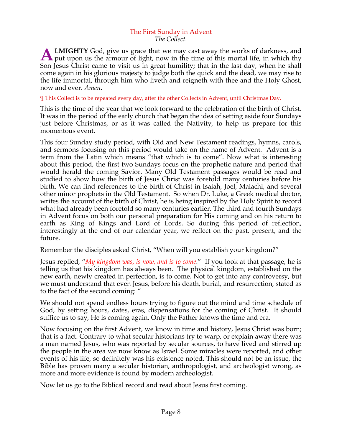#### The First Sunday in Advent *The Collect.*

**LMIGHTY** God, give us grace that we may cast away the works of darkness, and **A LMIGHTY** God, give us grace that we may cast away the works of darkness, and put upon us the armour of light, now in the time of this mortal life, in which thy Son Jesus Christ came to visit us in great humility; that in the last day, when he shall come again in his glorious majesty to judge both the quick and the dead, we may rise to the life immortal, through him who liveth and reigneth with thee and the Holy Ghost, now and ever. *Amen*.

¶ This Collect is to be repeated every day, after the other Collects in Advent, until Christmas Day.

This is the time of the year that we look forward to the celebration of the birth of Christ. It was in the period of the early church that began the idea of setting aside four Sundays just before Christmas, or as it was called the Nativity, to help us prepare for this momentous event.

This four Sunday study period, with Old and New Testament readings, hymns, carols, and sermons focusing on this period would take on the name of Advent. Advent is a term from the Latin which means "that which is to come". Now what is interesting about this period, the first two Sundays focus on the prophetic nature and period that would herald the coming Savior. Many Old Testament passages would be read and studied to show how the birth of Jesus Christ was foretold many centuries before his birth. We can find references to the birth of Christ in Isaiah, Joel, Malachi, and several other minor prophets in the Old Testament. So when Dr. Luke, a Greek medical doctor, writes the account of the birth of Christ, he is being inspired by the Holy Spirit to record what had already been foretold so many centuries earlier. The third and fourth Sundays in Advent focus on both our personal preparation for His coming and on his return to earth as King of Kings and Lord of Lords. So during this period of reflection, interestingly at the end of our calendar year, we reflect on the past, present, and the future.

Remember the disciples asked Christ, "When will you establish your kingdom?"

Jesus replied, "*My kingdom was, is now, and is to come*." If you look at that passage, he is telling us that his kingdom has always been. The physical kingdom, established on the new earth, newly created in perfection, is to come. Not to get into any controversy, but we must understand that even Jesus, before his death, burial, and resurrection, stated as to the fact of the second coming: "

We should not spend endless hours trying to figure out the mind and time schedule of God, by setting hours, dates, eras, dispensations for the coming of Christ. It should suffice us to say, He is coming again. Only the Father knows the time and era.

Now focusing on the first Advent, we know in time and history, Jesus Christ was born; that is a fact. Contrary to what secular historians try to warp, or explain away there was a man named Jesus, who was reported by secular sources, to have lived and stirred up the people in the area we now know as Israel. Some miracles were reported, and other events of his life, so definitely was his existence noted. This should not be an issue, the Bible has proven many a secular historian, anthropologist, and archeologist wrong, as more and more evidence is found by modern archeologist.

Now let us go to the Biblical record and read about Jesus first coming.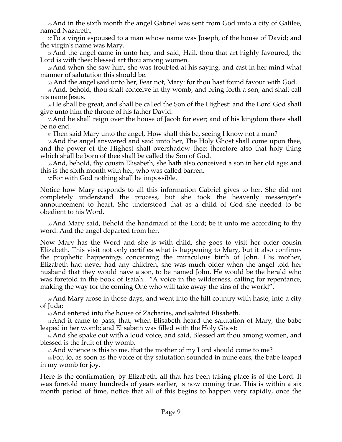26And in the sixth month the angel Gabriel was sent from God unto a city of Galilee, named Nazareth,

27To a virgin espoused to a man whose name was Joseph, of the house of David; and the virgin's name was Mary.

28And the angel came in unto her, and said, Hail, thou that art highly favoured, the Lord is with thee: blessed art thou among women.

29And when she saw him, she was troubled at his saying, and cast in her mind what manner of salutation this should be.

<sup>30</sup> And the angel said unto her, Fear not, Mary: for thou hast found favour with God.

31And, behold, thou shalt conceive in thy womb, and bring forth a son, and shalt call his name Jesus.

<sup>32</sup> He shall be great, and shall be called the Son of the Highest: and the Lord God shall give unto him the throne of his father David:

33And he shall reign over the house of Jacob for ever; and of his kingdom there shall be no end.

34Then said Mary unto the angel, How shall this be, seeing I know not a man?

35 And the angel answered and said unto her, The Holy Ghost shall come upon thee, and the power of the Highest shall overshadow thee: therefore also that holy thing which shall be born of thee shall be called the Son of God.

36And, behold, thy cousin Elisabeth, she hath also conceived a son in her old age: and this is the sixth month with her, who was called barren.

37 For with God nothing shall be impossible.

Notice how Mary responds to all this information Gabriel gives to her. She did not completely understand the process, but she took the heavenly messenger's announcement to heart. She understood that as a child of God she needed to be obedient to his Word.

38And Mary said, Behold the handmaid of the Lord; be it unto me according to thy word. And the angel departed from her.

Now Mary has the Word and she is with child, she goes to visit her older cousin Elizabeth. This visit not only certifies what is happening to Mary, but it also confirms the prophetic happenings concerning the miraculous birth of John. His mother, Elizabeth had never had any children, she was much older when the angel told her husband that they would have a son, to be named John. He would be the herald who was foretold in the book of Isaiah. "A voice in the wilderness, calling for repentance, making the way for the coming One who will take away the sins of the world".

39And Mary arose in those days, and went into the hill country with haste, into a city of Juda;

40And entered into the house of Zacharias, and saluted Elisabeth.

41And it came to pass, that, when Elisabeth heard the salutation of Mary, the babe leaped in her womb; and Elisabeth was filled with the Holy Ghost:

42And she spake out with a loud voice, and said, Blessed art thou among women, and blessed is the fruit of thy womb.

43And whence is this to me, that the mother of my Lord should come to me?

<sup>44</sup> For, lo, as soon as the voice of thy salutation sounded in mine ears, the babe leaped in my womb for joy.

Here is the confirmation, by Elizabeth, all that has been taking place is of the Lord. It was foretold many hundreds of years earlier, is now coming true. This is within a six month period of time, notice that all of this begins to happen very rapidly, once the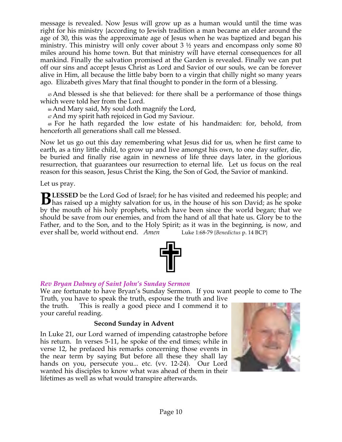message is revealed. Now Jesus will grow up as a human would until the time was right for his ministry {according to Jewish tradition a man became an elder around the age of 30, this was the approximate age of Jesus when he was baptized and began his ministry. This ministry will only cover about 3 ½ years and encompass only some 80 miles around his home town. But that ministry will have eternal consequences for all mankind. Finally the salvation promised at the Garden is revealed. Finally we can put off our sins and accept Jesus Christ as Lord and Savior of our souls, we can be forever alive in Him, all because the little baby born to a virgin that chilly night so many years ago. Elizabeth gives Mary that final thought to ponder in the form of a blessing.

<sup>45</sup> And blessed is she that believed: for there shall be a performance of those things which were told her from the Lord.

46And Mary said, My soul doth magnify the Lord,

47And my spirit hath rejoiced in God my Saviour.

<sup>48</sup> For he hath regarded the low estate of his handmaiden: for, behold, from henceforth all generations shall call me blessed.

Now let us go out this day remembering what Jesus did for us, when he first came to earth, as a tiny little child, to grow up and live amongst his own, to one day suffer, die, be buried and finally rise again in newness of life three days later, in the glorious resurrection, that guarantees our resurrection to eternal life. Let us focus on the real reason for this season, Jesus Christ the King, the Son of God, the Savior of mankind.

Let us pray.

**LESSED** be the Lord God of Israel; for he has visited and redeemed his people; and **h** Has raised up a mighty salvation for us, in the house of his son David; as he spoke that the month of his son David; as he spoke by the mouth of his holy prophets, which have been since the world began; that we should be save from our enemies, and from the hand of all that hate us. Glory be to the Father, and to the Son, and to the Holy Spirit; as it was in the beginning, is now, and ever shall be, world without end. *Amen* Luke 1:68-79 {*Benedictus* p. 14 BCP}



# *Rev Bryan Dabney of Saint John's Sunday Sermon*

We are fortunate to have Bryan's Sunday Sermon. If you want people to come to The Truth, you have to speak the truth, espouse the truth and live

the truth. This is really a good piece and I commend it to your careful reading.

## **Second Sunday in Advent**

In Luke 21, our Lord warned of impending catastrophe before his return. In verses 5-11, he spoke of the end times; while in verse 12, he prefaced his remarks concerning those events in the near term by saying But before all these they shall lay hands on you, persecute you... etc. (vv. 12-24). Our Lord wanted his disciples to know what was ahead of them in their lifetimes as well as what would transpire afterwards.

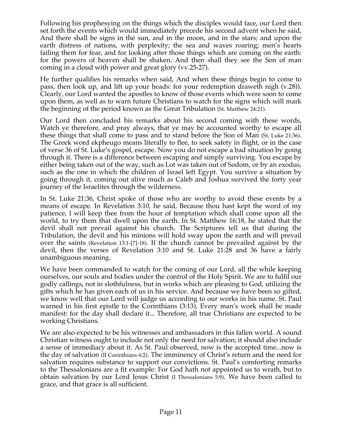Following his prophesying on the things which the disciples would face, our Lord then set forth the events which would immediately precede his second advent when he said, And there shall be signs in the sun, and in the moon, and in the stars; and upon the earth distress of nations, with perplexity; the sea and waves roaring; men's hearts failing them for fear, and for looking after those things which are coming on the earth: for the powers of heaven shall be shaken. And then shall they see the Son of man coming in a cloud with power and great glory (vv.25-27).

He further qualifies his remarks when said, And when these things begin to come to pass, then look up, and lift up your heads: for your redemption draweth nigh (v.28)). Clearly, our Lord wanted the apostles to know of those events which were soon to come upon them, as well as to warn future Christians to watch for the signs which will mark the beginning of the period known as the Great Tribulation (St. Matthew 24:21).

Our Lord then concluded his remarks about his second coming with these words, Watch ye therefore, and pray always, that ye may be accounted worthy to escape all these things that shall come to pass and to stand before the Son of Man (St. Luke 21:36). The Greek word ekpheugo means literally to flee, to seek safety in flight, or in the case of verse 36 of St. Luke's gospel, escape. Now you do not escape a bad situation by going through it. There is a difference between escaping and simply surviving. You escape by either being taken out of the way, such as Lot was taken out of Sodom, or by an exodus, such as the one in which the children of Israel left Egypt. You survive a situation by going through it, coming out alive much as Caleb and Joshua survived the forty year journey of the Israelites through the wilderness.

In St. Luke 21:36, Christ spoke of those who are worthy to avoid these events by a means of escape. In Revelation 3:10, he said, Because thou hast kept the word of my patience, I will keep thee from the hour of temptation which shall come upon all the world, to try them that dwell upon the earth. In St. Matthew 16:18, he stated that the devil shall not prevail against his church. The Scriptures tell us that during the Tribulation, the devil and his minions will hold sway upon the earth and will prevail over the saints (Revelation 13:1-[7]-18). If the church cannot be prevailed against by the devil, then the verses of Revelation 3:10 and St. Luke 21:28 and 36 have a fairly unambiguous meaning.

We have been commanded to watch for the coming of our Lord, all the while keeping ourselves, our souls and bodies under the control of the Holy Spirit. We are to fulfil our godly callings, not in slothfulness, but in works which are pleasing to God, utilizing the gifts which he has given each of us in his service. And because we have been so gifted, we know well that our Lord will judge us according to our works in his name. St. Paul warned in his first epistle to the Corinthians (3:13), Every man's work shall be made manifest: for the day shall declare it... Therefore, all true Christians are expected to be working Christians.

We are also expected to be his witnesses and ambassadors in this fallen world. A sound Christian witness ought to include not only the need for salvation; it should also include a sense of immediacy about it. As St. Paul observed, now is the accepted time...now is the day of salvation (II Corinthians 6:2). The imminency of Christ's return and the need for salvation requires substance to support our convictions. St. Paul's comforting remarks to the Thessalonians are a fit example: For God hath not appointed us to wrath, but to obtain salvation by our Lord Jesus Christ (I Thessalonians 5:9). We have been called to grace, and that grace is all sufficient.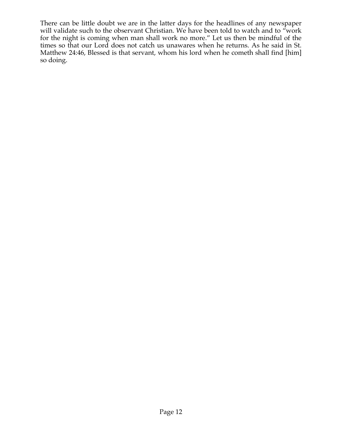There can be little doubt we are in the latter days for the headlines of any newspaper will validate such to the observant Christian. We have been told to watch and to "work" for the night is coming when man shall work no more." Let us then be mindful of the times so that our Lord does not catch us unawares when he returns. As he said in St. Matthew 24:46, Blessed is that servant, whom his lord when he cometh shall find [him] so doing.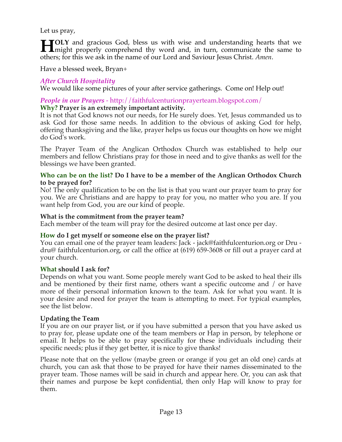Let us pray,

**TOLY** and gracious God, bless us with wise and understanding hearts that we **HOLY** and gracious God, bless us with wise and understanding hearts that we might properly comprehend thy word and, in turn, communicate the same to others; for this we ask in the name of our Lord and Saviour Jesus Christ. *Amen*.

Have a blessed week, Bryan+

## *After Church Hospitality*

We would like some pictures of your after service gatherings. Come on! Help out!

#### *People in our Prayers* - http://faithfulcenturionprayerteam.blogspot.com/ **Why? Prayer is an extremely important activity.**

It is not that God knows not our needs, for He surely does. Yet, Jesus commanded us to ask God for those same needs. In addition to the obvious of asking God for help, offering thanksgiving and the like, prayer helps us focus our thoughts on how we might do God's work.

The Prayer Team of the Anglican Orthodox Church was established to help our members and fellow Christians pray for those in need and to give thanks as well for the blessings we have been granted.

### **Who can be on the list? Do I have to be a member of the Anglican Orthodox Church to be prayed for?**

No! The only qualification to be on the list is that you want our prayer team to pray for you. We are Christians and are happy to pray for you, no matter who you are. If you want help from God, you are our kind of people.

### **What is the commitment from the prayer team?**

Each member of the team will pray for the desired outcome at last once per day.

### **How do I get myself or someone else on the prayer list?**

You can email one of the prayer team leaders: Jack - jack@faithfulcenturion.org or Dru dru@ faithfulcenturion.org, or call the office at (619) 659-3608 or fill out a prayer card at your church.

### **What should I ask for?**

Depends on what you want. Some people merely want God to be asked to heal their ills and be mentioned by their first name, others want a specific outcome and / or have more of their personal information known to the team. Ask for what you want. It is your desire and need for prayer the team is attempting to meet. For typical examples, see the list below.

### **Updating the Team**

If you are on our prayer list, or if you have submitted a person that you have asked us to pray for, please update one of the team members or Hap in person, by telephone or email. It helps to be able to pray specifically for these individuals including their specific needs; plus if they get better, it is nice to give thanks!

Please note that on the yellow (maybe green or orange if you get an old one) cards at church, you can ask that those to be prayed for have their names disseminated to the prayer team. Those names will be said in church and appear here. Or, you can ask that their names and purpose be kept confidential, then only Hap will know to pray for them.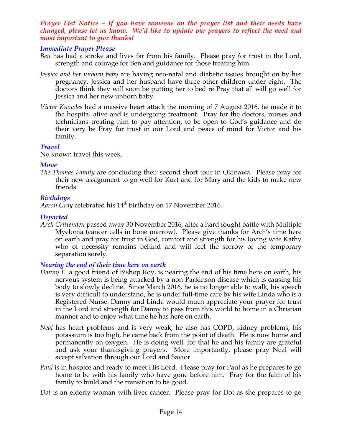#### *Prayer List Notice – If you have someone on the prayer list and their needs have changed, please let us know. We'd like to update our prayers to reflect the need and most important to give thanks!*

## *Immediate Prayer Please*

- *Ben* has had a stroke and lives far from his family. Please pray for trust in the Lord, strength and courage for Ben and guidance for those treating him.
- *Jessica and her unborn baby* are having neo-natal and diabetic issues brought on by her pregnancy. Jessica and her husband have three other children under eight. The doctors think they will soon be putting her to bed re Pray that all will go well for Jessica and her new unborn baby.
- *Victor Knowles* had a massive heart attack the morning of 7 August 2016, he made it to the hospital alive and is undergoing treatment. Pray for the doctors, nurses and technicians treating him to pay attention, to be open to God's guidance and do their very be Pray for trust in our Lord and peace of mind for Victor and his family.

### *Travel*

No known travel this week.

#### *Move*

*The Thomas Family* are concluding their second short tour in Okinawa. Please pray for their new assignment to go well for Kurt and for Mary and the kids to make new friends.

### *Birthdays*

Aaron Gray celebrated his 14<sup>th</sup> birthday on 17 November 2016.

### *Departed*

*Arch Crittenden* passed away 30 November 2016, after a hard fought battle with Multiple Myeloma (cancer cells in bone marrow). Please give thanks for Arch's time here on earth and pray for trust in God, comfort and strength for his loving wife Kathy who of necessity remains behind and will feel the sorrow of the temporary separation sorely.

### *Nearing the end of their time here on earth*

- *Danny E.* a good friend of Bishop Roy, is nearing the end of his time here on earth, his nervous system is being attacked by a non-Parkinson disease which is causing his body to slowly decline. Since March 2016, he is no longer able to walk, his speech is very difficult to understand, he is under full-time care by his wife Linda who is a Registered Nurse. Danny and Linda would much appreciate your prayer for trust in the Lord and strength for Danny to pass from this world to home in a Christian manner and to enjoy what time he has here on earth.
- *Neal* has heart problems and is very weak, he also has COPD, kidney problems, his potassium is too high, he came back from the point of death. He is now home and permanently on oxygen. He is doing well, for that he and his family are grateful and ask your thanksgiving prayers. More importantly, please pray Neal will accept salvation through our Lord and Savior.
- *Paul* is in hospice and ready to meet His Lord. Please pray for Paul as he prepares to go home to be with his family who have gone before him. Pray for the faith of his family to build and the transition to be good.
- *Dot* is an elderly woman with liver cancer. Please pray for Dot as she prepares to go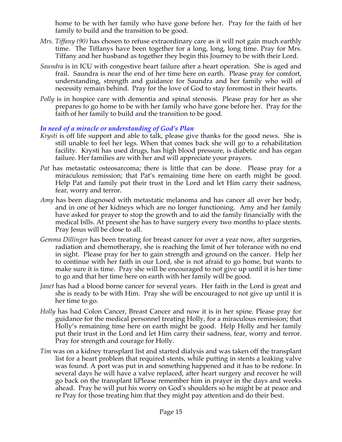home to be with her family who have gone before her. Pray for the faith of her family to build and the transition to be good.

- *Mrs. Tiffany (90)* has chosen to refuse extraordinary care as it will not gain much earthly time. The Tiffanys have been together for a long, long, long time. Pray for Mrs. Tiffany and her husband as together they begin this Journey to be with their Lord.
- *Saundra* is in ICU with congestive heart failure after a heart operation. She is aged and frail. Saundra is near the end of her time here on earth. Please pray for comfort, understanding, strength and guidance for Saundra and her family who will of necessity remain behind. Pray for the love of God to stay foremost in their hearts.
- *Polly* is in hospice care with dementia and spinal stenosis. Please pray for her as she prepares to go home to be with her family who have gone before her. Pray for the faith of her family to build and the transition to be good.

## *In need of a miracle or understanding of God's Plan*

- *Krysti* is off life support and able to talk, please give thanks for the good news. She is still unable to feel her legs. When that comes back she will go to a rehabilitation facility. Krysti has used drugs, has high blood pressure, is diabetic and has organ failure. Her families are with her and will appreciate your prayers.
- *Pat* has metastatic osteosarcoma; there is little that can be done. Please pray for a miraculous remission; that Pat's remaining time here on earth might be good. Help Pat and family put their trust in the Lord and let Him carry their sadness, fear, worry and terror.
- *Amy* has been diagnosed with metastatic melanoma and has cancer all over her body, and in one of her kidneys which are no longer functioning. Amy and her family have asked for prayer to stop the growth and to aid the family financially with the medical bills. At present she has to have surgery every two months to place stents. Pray Jesus will be close to all.
- *Gemma Dillinger* has been treating for breast cancer for over a year now, after surgeries, radiation and chemotherapy, she is reaching the limit of her tolerance with no end in sight. Please pray for her to gain strength and ground on the cancer. Help her to continue with her faith in our Lord, she is not afraid to go home, but wants to make sure it is time. Pray she will be encouraged to not give up until it is her time to go and that her time here on earth with her family will be good.
- *Janet* has had a blood borne cancer for several years. Her faith in the Lord is great and she is ready to be with Him. Pray she will be encouraged to not give up until it is her time to go.
- *Holly* has had Colon Cancer, Breast Cancer and now it is in her spine. Please pray for guidance for the medical personnel treating Holly, for a miraculous remission; that Holly's remaining time here on earth might be good. Help Holly and her family put their trust in the Lord and let Him carry their sadness, fear, worry and terror. Pray for strength and courage for Holly.
- *Tim* was on a kidney transplant list and started dialysis and was taken off the transplant list for a heart problem that required stents, while putting in stents a leaking valve was found. A port was put in and something happened and it has to be redone. In several days he will have a valve replaced, after heart surgery and recover he will go back on the transplant liPlease remember him in prayer in the days and weeks ahead. Pray he will put his worry on God's shoulders so he might be at peace and re Pray for those treating him that they might pay attention and do their best.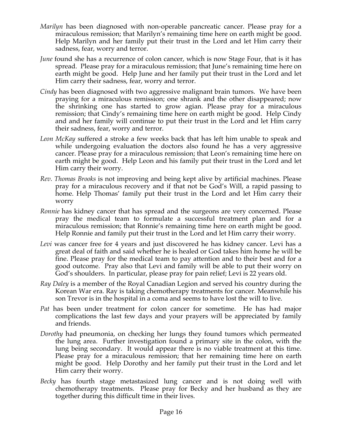- *Marilyn* has been diagnosed with non-operable pancreatic cancer. Please pray for a miraculous remission; that Marilyn's remaining time here on earth might be good. Help Marilyn and her family put their trust in the Lord and let Him carry their sadness, fear, worry and terror.
- *June* found she has a recurrence of colon cancer, which is now Stage Four, that is it has spread. Please pray for a miraculous remission; that June's remaining time here on earth might be good. Help June and her family put their trust in the Lord and let Him carry their sadness, fear, worry and terror.
- *Cindy* has been diagnosed with two aggressive malignant brain tumors. We have been praying for a miraculous remission; one shrank and the other disappeared; now the shrinking one has started to grow agian. Please pray for a miraculous remission; that Cindy's remaining time here on earth might be good. Help Cindy and and her family will continue to put their trust in the Lord and let Him carry their sadness, fear, worry and terror.
- *Leon McKay* suffered a stroke a few weeks back that has left him unable to speak and while undergoing evaluation the doctors also found he has a very aggressive cancer. Please pray for a miraculous remission; that Leon's remaining time here on earth might be good. Help Leon and his family put their trust in the Lord and let Him carry their worry.
- *Rev. Thomas Brooks* is not improving and being kept alive by artificial machines. Please pray for a miraculous recovery and if that not be God's Will, a rapid passing to home. Help Thomas' family put their trust in the Lord and let Him carry their worry
- *Ronnie* has kidney cancer that has spread and the surgeons are very concerned. Please pray the medical team to formulate a successful treatment plan and for a miraculous remission; that Ronnie's remaining time here on earth might be good. Help Ronnie and family put their trust in the Lord and let Him carry their worry.
- *Levi* was cancer free for 4 years and just discovered he has kidney cancer. Levi has a great deal of faith and said whether he is healed or God takes him home he will be fine. Please pray for the medical team to pay attention and to their best and for a good outcome. Pray also that Levi and family will be able to put their worry on God's shoulders. In particular, please pray for pain relief; Levi is 22 years old.
- *Ray Daley* is a member of the Royal Canadian Legion and served his country during the Korean War era. Ray is taking chemotherapy treatments for cancer. Meanwhile his son Trevor is in the hospital in a coma and seems to have lost the will to live.
- *Pat* has been under treatment for colon cancer for sometime. He has had major complications the last few days and your prayers will be appreciated by family and friends.
- *Dorothy* had pneumonia, on checking her lungs they found tumors which permeated the lung area. Further investigation found a primary site in the colon, with the lung being secondary. It would appear there is no viable treatment at this time. Please pray for a miraculous remission; that her remaining time here on earth might be good. Help Dorothy and her family put their trust in the Lord and let Him carry their worry.
- *Becky* has fourth stage metastasized lung cancer and is not doing well with chemotherapy treatments. Please pray for Becky and her husband as they are together during this difficult time in their lives.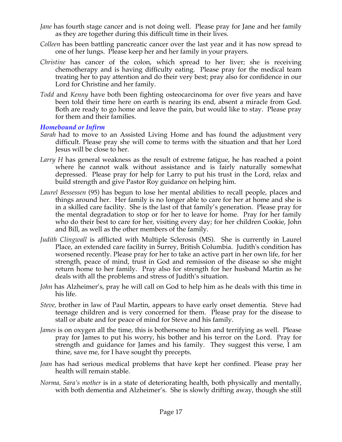- *Jane* has fourth stage cancer and is not doing well. Please pray for Jane and her family as they are together during this difficult time in their lives.
- *Colleen* has been battling pancreatic cancer over the last year and it has now spread to one of her lungs. Please keep her and her family in your prayers.
- *Christine* has cancer of the colon, which spread to her liver; she is receiving chemotherapy and is having difficulty eating. Please pray for the medical team treating her to pay attention and do their very best; pray also for confidence in our Lord for Christine and her family.
- *Todd* and *Kenny* have both been fighting osteocarcinoma for over five years and have been told their time here on earth is nearing its end, absent a miracle from God. Both are ready to go home and leave the pain, but would like to stay. Please pray for them and their families.

### *Homebound or Infirm*

- *Sarah* had to move to an Assisted Living Home and has found the adjustment very difficult. Please pray she will come to terms with the situation and that her Lord Jesus will be close to her.
- *Larry H* has general weakness as the result of extreme fatigue, he has reached a point where he cannot walk without assistance and is fairly naturally somewhat depressed. Please pray for help for Larry to put his trust in the Lord, relax and build strength and give Pastor Roy guidance on helping him.
- *Laurel Bessessen* (95) has begun to lose her mental abilities to recall people, places and things around her. Her family is no longer able to care for her at home and she is in a skilled care facility. She is the last of that family's generation. Please pray for the mental degradation to stop or for her to leave for home. Pray for her family who do their best to care for her, visiting every day; for her children Cookie, John and Bill, as well as the other members of the family.
- *Judith Clingwall* is afflicted with Multiple Sclerosis (MS). She is currently in Laurel Place, an extended care facility in Surrey, British Columbia. Judith's condition has worsened recently. Please pray for her to take an active part in her own life, for her strength, peace of mind, trust in God and remission of the disease so she might return home to her family. Pray also for strength for her husband Martin as he deals with all the problems and stress of Judith's situation.
- *John* has Alzheimer's, pray he will call on God to help him as he deals with this time in his life.
- *Steve,* brother in law of Paul Martin, appears to have early onset dementia. Steve had teenage children and is very concerned for them. Please pray for the disease to stall or abate and for peace of mind for Steve and his family.
- *James* is on oxygen all the time, this is bothersome to him and terrifying as well. Please pray for James to put his worry, his bother and his terror on the Lord. Pray for strength and guidance for James and his family. They suggest this verse, I am thine, save me, for I have sought thy precepts.
- *Joan* has had serious medical problems that have kept her confined. Please pray her health will remain stable.
- *Norma, Sara's mother* is in a state of deteriorating health, both physically and mentally, with both dementia and Alzheimer's. She is slowly drifting away, though she still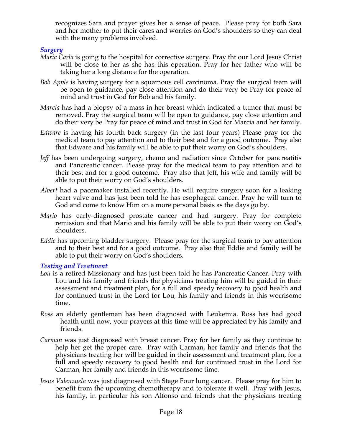recognizes Sara and prayer gives her a sense of peace. Please pray for both Sara and her mother to put their cares and worries on God's shoulders so they can deal with the many problems involved.

## *Surgery*

- *Maria Carla* is going to the hospital for corrective surgery. Pray tht our Lord Jesus Christ will be close to her as she has this operation. Pray for her father who will be taking her a long distance for the operation.
- *Bob Apple* is having surgery for a squamous cell carcinoma. Pray the surgical team will be open to guidance, pay close attention and do their very be Pray for peace of mind and trust in God for Bob and his family.
- *Marcia* has had a biopsy of a mass in her breast which indicated a tumor that must be removed. Pray the surgical team will be open to guidance, pay close attention and do their very be Pray for peace of mind and trust in God for Marcia and her family.
- *Edware* is having his fourth back surgery (in the last four years) Please pray for the medical team to pay attention and to their best and for a good outcome. Pray also that Edware and his family will be able to put their worry on God's shoulders.
- *Jeff* has been undergoing surgery, chemo and radiation since October for pancreatitis and Pancreatic cancer. Please pray for the medical team to pay attention and to their best and for a good outcome. Pray also that Jeff, his wife and family will be able to put their worry on God's shoulders.
- *Albert* had a pacemaker installed recently. He will require surgery soon for a leaking heart valve and has just been told he has esophageal cancer. Pray he will turn to God and come to know Him on a more personal basis as the days go by.
- *Mario* has early-diagnosed prostate cancer and had surgery. Pray for complete remission and that Mario and his family will be able to put their worry on God's shoulders.
- *Eddie* has upcoming bladder surgery. Please pray for the surgical team to pay attention and to their best and for a good outcome. Pray also that Eddie and family will be able to put their worry on God's shoulders.

### *Testing and Treatment*

- *Lou* is a retired Missionary and has just been told he has Pancreatic Cancer. Pray with Lou and his family and friends the physicians treating him will be guided in their assessment and treatment plan, for a full and speedy recovery to good health and for continued trust in the Lord for Lou, his family and friends in this worrisome time.
- *Ross* an elderly gentleman has been diagnosed with Leukemia. Ross has had good health until now, your prayers at this time will be appreciated by his family and friends.
- *Carman* was just diagnosed with breast cancer. Pray for her family as they continue to help her get the proper care. Pray with Carman, her family and friends that the physicians treating her will be guided in their assessment and treatment plan, for a full and speedy recovery to good health and for continued trust in the Lord for Carman, her family and friends in this worrisome time.
- *Jesus Valenzuela* was just diagnosed with Stage Four lung cancer. Please pray for him to benefit from the upcoming chemotherapy and to tolerate it well. Pray with Jesus, his family, in particular his son Alfonso and friends that the physicians treating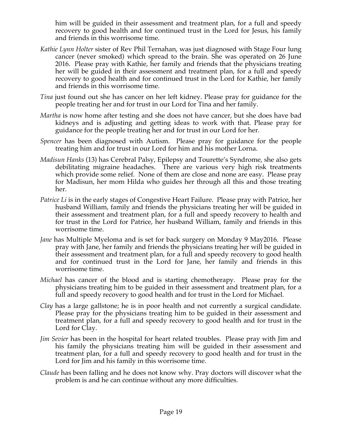him will be guided in their assessment and treatment plan, for a full and speedy recovery to good health and for continued trust in the Lord for Jesus, his family and friends in this worrisome time.

- *Kathie Lynn Holter* sister of Rev Phil Ternahan, was just diagnosed with Stage Four lung cancer (never smoked) which spread to the brain. She was operated on 26 June 2016. Please pray with Kathie, her family and friends that the physicians treating her will be guided in their assessment and treatment plan, for a full and speedy recovery to good health and for continued trust in the Lord for Kathie, her family and friends in this worrisome time.
- *Tina* just found out she has cancer on her left kidney. Please pray for guidance for the people treating her and for trust in our Lord for Tina and her family.
- *Martha* is now home after testing and she does not have cancer, but she does have bad kidneys and is adjusting and getting ideas to work with that. Please pray for guidance for the people treating her and for trust in our Lord for her.
- *Spencer* has been diagnosed with Autism. Please pray for guidance for the people treating him and for trust in our Lord for him and his mother Lorna.
- *Madisun Hanks* (13) has Cerebral Palsy, Epilepsy and Tourette's Syndrome, she also gets debilitating migraine headaches. There are various very high risk treatments which provide some relief. None of them are close and none are easy. Please pray for Madisun, her mom Hilda who guides her through all this and those treating her.
- *Patrice Li* is in the early stages of Congestive Heart Failure. Please pray with Patrice, her husband William, family and friends the physicians treating her will be guided in their assessment and treatment plan, for a full and speedy recovery to health and for trust in the Lord for Patrice, her husband William, family and friends in this worrisome time.
- *Jane* has Multiple Myeloma and is set for back surgery on Monday 9 May2016. Please pray with Jane, her family and friends the physicians treating her will be guided in their assessment and treatment plan, for a full and speedy recovery to good health and for continued trust in the Lord for Jane, her family and friends in this worrisome time.
- *Michael* has cancer of the blood and is starting chemotherapy. Please pray for the physicians treating him to be guided in their assessment and treatment plan, for a full and speedy recovery to good health and for trust in the Lord for Michael.
- *Clay* has a large gallstone; he is in poor health and not currently a surgical candidate. Please pray for the physicians treating him to be guided in their assessment and treatment plan, for a full and speedy recovery to good health and for trust in the Lord for Clay.
- *Jim Sevier* has been in the hospital for heart related troubles. Please pray with Jim and his family the physicians treating him will be guided in their assessment and treatment plan, for a full and speedy recovery to good health and for trust in the Lord for Jim and his family in this worrisome time.
- *Claude* has been falling and he does not know why. Pray doctors will discover what the problem is and he can continue without any more difficulties.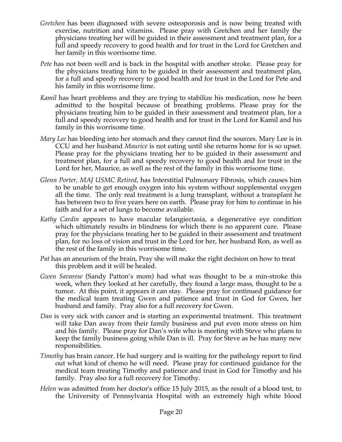- *Gretchen* has been diagnosed with severe osteoporosis and is now being treated with exercise, nutrition and vitamins. Please pray with Gretchen and her family the physicians treating her will be guided in their assessment and treatment plan, for a full and speedy recovery to good health and for trust in the Lord for Gretchen and her family in this worrisome time.
- *Pete* has not been well and is back in the hospital with another stroke. Please pray for the physicians treating him to be guided in their assessment and treatment plan, for a full and speedy recovery to good health and for trust in the Lord for Pete and his family in this worrisome time.
- *Kamil* has heart problems and they are trying to stabilize his medication, now he been admitted to the hospital because of breathing problems. Please pray for the physicians treating him to be guided in their assessment and treatment plan, for a full and speedy recovery to good health and for trust in the Lord for Kamil and his family in this worrisome time.
- *Mary Lee* has bleeding into her stomach and they cannot find the sources. Mary Lee is in CCU and her husband *Maurice* is not eating until she returns home for is so upset. Please pray for the physicians treating her to be guided in their assessment and treatment plan, for a full and speedy recovery to good health and for trust in the Lord for her, Maurice, as well as the rest of the family in this worrisome time.
- *Glenn Porter, MAJ USMC Retired,* has Interstitial Pulmonary Fibrosis, which causes him to be unable to get enough oxygen into his system without supplemental oxygen all the time. The only real treatment is a lung transplant, without a transplant he has between two to five years here on earth. Please pray for him to continue in his faith and for a set of lungs to become available.
- *Kathy Cardin* appears to have macular telangiectasia, a degenerative eye condition which ultimately results in blindness for which there is no apparent cure. Please pray for the physicians treating her to be guided in their assessment and treatment plan, for no loss of vision and trust in the Lord for her, her husband Ron, as well as the rest of the family in this worrisome time.
- *Pat* has an aneurism of the brain, Pray she will make the right decision on how to treat this problem and it will be healed.
- *Gwen Savarese* (Sandy Patton's mom) had what was thought to be a min-stroke this week, when they looked at her carefully, they found a large mass, thought to be a tumor. At this point, it appears it can stay. Please pray for continued guidance for the medical team treating Gwen and patience and trust in God for Gwen, her husband and family. Pray also for a full recovery for Gwen.
- *Dan* is very sick with cancer and is starting an experimental treatment. This treatment will take Dan away from their family business and put even more stress on him and his family. Please pray for Dan's wife who is meeting with Steve who plans to keep the family business going while Dan is ill. Pray for Steve as he has many new responsibilities.
- *Timothy* has brain cancer. He had surgery and is waiting for the pathology report to find out what kind of chemo he will need. Please pray for continued guidance for the medical team treating Timothy and patience and trust in God for Timothy and his family. Pray also for a full recovery for Timothy.
- *Helen* was admitted from her doctor's office 15 July 2015, as the result of a blood test, to the University of Pennsylvania Hospital with an extremely high white blood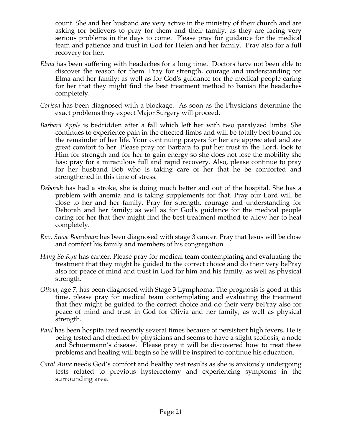count. She and her husband are very active in the ministry of their church and are asking for believers to pray for them and their family, as they are facing very serious problems in the days to come. Please pray for guidance for the medical team and patience and trust in God for Helen and her family. Pray also for a full recovery for her.

- *Elma* has been suffering with headaches for a long time. Doctors have not been able to discover the reason for them. Pray for strength, courage and understanding for Elma and her family; as well as for God's guidance for the medical people caring for her that they might find the best treatment method to banish the headaches completely.
- *Corissa* has been diagnosed with a blockage. As soon as the Physicians determine the exact problems they expect Major Surgery will proceed.
- *Barbara Apple* is bedridden after a fall which left her with two paralyzed limbs. She continues to experience pain in the effected limbs and will be totally bed bound for the remainder of her life. Your continuing prayers for her are appreciated and are great comfort to her. Please pray for Barbara to put her trust in the Lord, look to Him for strength and for her to gain energy so she does not lose the mobility she has; pray for a miraculous full and rapid recovery. Also, please continue to pray for her husband Bob who is taking care of her that he be comforted and strengthened in this time of stress.
- *Deborah* has had a stroke, she is doing much better and out of the hospital. She has a problem with anemia and is taking supplements for that. Pray our Lord will be close to her and her family. Pray for strength, courage and understanding for Deborah and her family; as well as for God's guidance for the medical people caring for her that they might find the best treatment method to allow her to heal completely.
- *Rev. Steve Boardman* has been diagnosed with stage 3 cancer. Pray that Jesus will be close and comfort his family and members of his congregation*.*
- *Hang So Ryu* has cancer. Please pray for medical team contemplating and evaluating the treatment that they might be guided to the correct choice and do their very bePray also for peace of mind and trust in God for him and his family, as well as physical strength.
- *Olivia,* age 7, has been diagnosed with Stage 3 Lymphoma. The prognosis is good at this time, please pray for medical team contemplating and evaluating the treatment that they might be guided to the correct choice and do their very bePray also for peace of mind and trust in God for Olivia and her family, as well as physical strength.
- *Paul* has been hospitalized recently several times because of persistent high fevers. He is being tested and checked by physicians and seems to have a slight scoliosis, a node and Schuermann's disease. Please pray it will be discovered how to treat these problems and healing will begin so he will be inspired to continue his education.
- *Carol Anne* needs God's comfort and healthy test results as she is anxiously undergoing tests related to previous hysterectomy and experiencing symptoms in the surrounding area.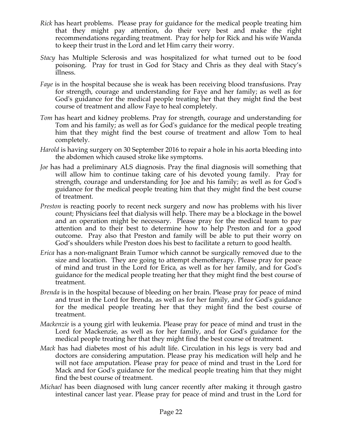- *Rick* has heart problems. Please pray for guidance for the medical people treating him that they might pay attention, do their very best and make the right recommendations regarding treatment. Pray for help for Rick and his wife Wanda to keep their trust in the Lord and let Him carry their worry.
- *Stacy* has Multiple Sclerosis and was hospitalized for what turned out to be food poisoning. Pray for trust in God for Stacy and Chris as they deal with Stacy's illness.
- *Faye* is in the hospital because she is weak has been receiving blood transfusions. Pray for strength, courage and understanding for Faye and her family; as well as for God's guidance for the medical people treating her that they might find the best course of treatment and allow Faye to heal completely.
- *Tom* has heart and kidney problems. Pray for strength, courage and understanding for Tom and his family; as well as for God's guidance for the medical people treating him that they might find the best course of treatment and allow Tom to heal completely.
- *Harold* is having surgery on 30 September 2016 to repair a hole in his aorta bleeding into the abdomen which caused stroke like symptoms.
- *Joe* has had a preliminary ALS diagnosis. Pray the final diagnosis will something that will allow him to continue taking care of his devoted young family. Pray for strength, courage and understanding for Joe and his family; as well as for God's guidance for the medical people treating him that they might find the best course of treatment.
- *Preston* is reacting poorly to recent neck surgery and now has problems with his liver count; Physicians feel that dialysis will help. There may be a blockage in the bowel and an operation might be necessary. Please pray for the medical team to pay attention and to their best to determine how to help Preston and for a good outcome. Pray also that Preston and family will be able to put their worry on God's shoulders while Preston does his best to facilitate a return to good health.
- *Erica* has a non-malignant Brain Tumor which cannot be surgically removed due to the size and location. They are going to attempt chemotherapy. Please pray for peace of mind and trust in the Lord for Erica, as well as for her family, and for God's guidance for the medical people treating her that they might find the best course of treatment.
- *Brenda* is in the hospital because of bleeding on her brain. Please pray for peace of mind and trust in the Lord for Brenda, as well as for her family, and for God's guidance for the medical people treating her that they might find the best course of treatment.
- *Mackenzie* is a young girl with leukemia. Please pray for peace of mind and trust in the Lord for Mackenzie, as well as for her family, and for God's guidance for the medical people treating her that they might find the best course of treatment.
- *Mack* has had diabetes most of his adult life. Circulation in his legs is very bad and doctors are considering amputation. Please pray his medication will help and he will not face amputation. Please pray for peace of mind and trust in the Lord for Mack and for God's guidance for the medical people treating him that they might find the best course of treatment.
- *Michael* has been diagnosed with lung cancer recently after making it through gastro intestinal cancer last year. Please pray for peace of mind and trust in the Lord for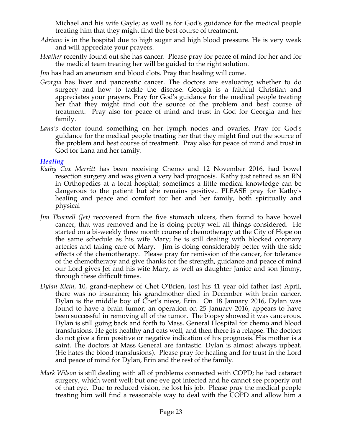Michael and his wife Gayle; as well as for God's guidance for the medical people treating him that they might find the best course of treatment.

- *Adriano* is in the hospital due to high sugar and high blood pressure. He is very weak and will appreciate your prayers.
- *Heather* recently found out she has cancer. Please pray for peace of mind for her and for the medical team treating her will be guided to the right solution.

*Jim* has had an aneurism and blood clots. Pray that healing will come.

- *Georgia* has liver and pancreatic cancer. The doctors are evaluating whether to do surgery and how to tackle the disease. Georgia is a faithful Christian and appreciates your prayers. Pray for God's guidance for the medical people treating her that they might find out the source of the problem and best course of treatment. Pray also for peace of mind and trust in God for Georgia and her family.
- *Lana's* doctor found something on her lymph nodes and ovaries. Pray for God's guidance for the medical people treating her that they might find out the source of the problem and best course of treatment. Pray also for peace of mind and trust in God for Lana and her family.

### *Healing*

- *Kathy Cox Merritt* has been receiving Chemo and 12 November 2016, had bowel resection surgery and was given a very bad prognosis. Kathy just retired as an RN in Orthopedics at a local hospital; sometimes a little medical knowledge can be dangerous to the patient but she remains positive.. PLEASE pray for Kathy's healing and peace and comfort for her and her family, both spiritually and physical
- *Jim Thornell (Jet)* recovered from the five stomach ulcers, then found to have bowel cancer, that was removed and he is doing pretty well all things considered. He started on a bi-weekly three month course of chemotherapy at the City of Hope on the same schedule as his wife Mary; he is still dealing with blocked coronary arteries and taking care of Mary. Jim is doing considerably better with the side effects of the chemotherapy. Please pray for remission of the cancer, for tolerance of the chemotherapy and give thanks for the strength, guidance and peace of mind our Lord gives Jet and his wife Mary, as well as daughter Janice and son Jimmy, through these difficult times.
- *Dylan Klein,* 10, grand-nephew of Chet O'Brien, lost his 41 year old father last April, there was no insurance; his grandmother died in December with brain cancer. Dylan is the middle boy of Chet's niece, Erin. On 18 January 2016, Dylan was found to have a brain tumor; an operation on 25 January 2016, appears to have been successful in removing all of the tumor. The biopsy showed it was cancerous. Dylan is still going back and forth to Mass. General Hospital for chemo and blood transfusions. He gets healthy and eats well, and then there is a relapse. The doctors do not give a firm positive or negative indication of his prognosis. His mother is a saint. The doctors at Mass General are fantastic. Dylan is almost always upbeat. (He hates the blood transfusions). Please pray for healing and for trust in the Lord and peace of mind for Dylan, Erin and the rest of the family.
- *Mark Wilson* is still dealing with all of problems connected with COPD; he had cataract surgery, which went well; but one eye got infected and he cannot see properly out of that eye. Due to reduced vision, he lost his job. Please pray the medical people treating him will find a reasonable way to deal with the COPD and allow him a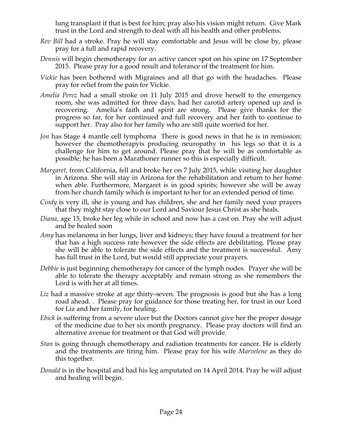lung transplant if that is best for him; pray also his vision might return. Give Mark trust in the Lord and strength to deal with all his health and other problems.

- *Rev Bill* had a stroke. Pray he will stay comfortable and Jesus will be close by, please pray for a full and rapid recovery.
- *Dennis* will begin chemotherapy for an active cancer spot on his spine on 17 September 2015. Please pray for a good result and tolerance of the treatment for him.
- *Vickie* has been bothered with Migraines and all that go with the headaches. Please pray for relief from the pain for Vickie.
- *Amelia Perez* had a small stroke on 11 July 2015 and drove herself to the emergency room, she was admitted for three days, had her carotid artery opened up and is recovering. Amelia's faith and spirit are strong. Please give thanks for the progress so far, for her continued and full recovery and her faith to continue to support her. Pray also for her family who are still quite worried for her.
- *Jon* has Stage 4 mantle cell lymphoma There is good news in that he is in remission; however the chemotherapyis producing neuropathy in his legs so that it is a challenge for him to get around. Please pray that he will be as comfortable as possible; he has been a Marathoner runner so this is especially difficult.
- *Margaret,* from California, fell and broke her on 7 July 2015, while visiting her daughter in Arizona. She will stay in Arizona for the rehabilitation and return to her home when able. Furthermore, Margaret is in good spirits; however she will be away from her church family which is important to her for an extended period of time.
- *Cindy* is very ill, she is young and has children, she and her family need your prayers that they might stay close to our Lord and Saviour Jesus Christ as she heals.
- *Diana*, age 15, broke her leg while in school and now has a cast on. Pray she will adjust and be healed soon
- *Amy* has melanoma in her lungs, liver and kidneys; they have found a treatment for her that has a high success rate however the side effects are debilitating. Please pray she will be able to tolerate the side effects and the treatment is successful. Amy has full trust in the Lord, but would still appreciate your prayers.
- *Debbie* is just beginning chemotherapy for cancer of the lymph nodes. Prayer she will be able to tolerate the therapy acceptably and remain strong as she remembers the Lord is with her at all times.
- Liz had a massive stroke at age thirty-seven. The prognosis is good but she has a long road ahead. . Please pray for guidance for those treating her, for trust in our Lord for Liz and her family, for healing.
- *Ebick* is suffering from a severe ulcer but the Doctors cannot give her the proper dosage of the medicine due to her six month pregnancy. Please pray doctors will find an alternative avenue for treatment or that God will provide.
- *Stan* is going through chemotherapy and radiation treatments for cancer. He is elderly and the treatments are tiring him. Please pray for his wife *Marvelene* as they do this together.
- *Donald* is in the hospital and had his leg amputated on 14 April 2014. Pray he will adjust and healing will begin.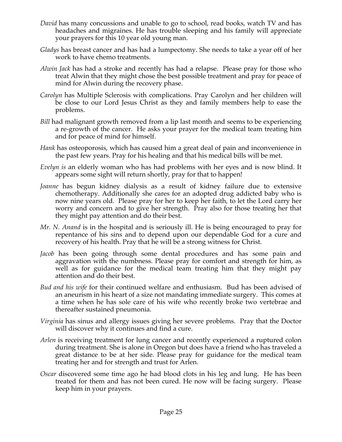- *David* has many concussions and unable to go to school, read books, watch TV and has headaches and migraines. He has trouble sleeping and his family will appreciate your prayers for this 10 year old young man.
- *Gladys* has breast cancer and has had a lumpectomy. She needs to take a year off of her work to have chemo treatments.
- *Alwin Jack* has had a stroke and recently has had a relapse. Please pray for those who treat Alwin that they might chose the best possible treatment and pray for peace of mind for Alwin during the recovery phase.
- *Carolyn* has Multiple Sclerosis with complications. Pray Carolyn and her children will be close to our Lord Jesus Christ as they and family members help to ease the problems.
- *Bill* had malignant growth removed from a lip last month and seems to be experiencing a re-growth of the cancer. He asks your prayer for the medical team treating him and for peace of mind for himself.
- *Hank* has osteoporosis, which has caused him a great deal of pain and inconvenience in the past few years. Pray for his healing and that his medical bills will be met.
- *Evelyn is* an elderly woman who has had problems with her eyes and is now blind. It appears some sight will return shortly, pray for that to happen!
- *Joanne* has begun kidney dialysis as a result of kidney failure due to extensive chemotherapy. Additionally she cares for an adopted drug addicted baby who is now nine years old. Please pray for her to keep her faith, to let the Lord carry her worry and concern and to give her strength. Pray also for those treating her that they might pay attention and do their best.
- *Mr. N. Anand* is in the hospital and is seriously ill. He is being encouraged to pray for repentance of his sins and to depend upon our dependable God for a cure and recovery of his health. Pray that he will be a strong witness for Christ.
- *Jacob* has been going through some dental procedures and has some pain and aggravation with the numbness. Please pray for comfort and strength for him, as well as for guidance for the medical team treating him that they might pay attention and do their best.
- *Bud and his wife* for their continued welfare and enthusiasm. Bud has been advised of an aneurism in his heart of a size not mandating immediate surgery. This comes at a time when he has sole care of his wife who recently broke two vertebrae and thereafter sustained pneumonia.
- *Virginia* has sinus and allergy issues giving her severe problems. Pray that the Doctor will discover why it continues and find a cure.
- *Arlen* is receiving treatment for lung cancer and recently experienced a ruptured colon during treatment. She is alone in Oregon but does have a friend who has traveled a great distance to be at her side. Please pray for guidance for the medical team treating her and for strength and trust for Arlen.
- *Oscar* discovered some time ago he had blood clots in his leg and lung. He has been treated for them and has not been cured. He now will be facing surgery. Please keep him in your prayers.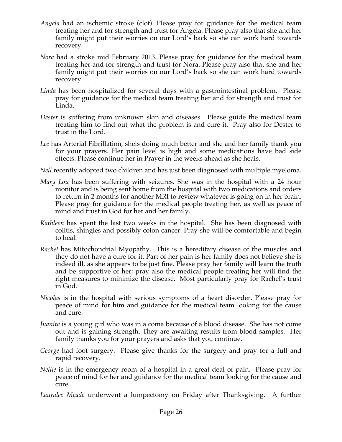- *Angela* had an ischemic stroke (clot). Please pray for guidance for the medical team treating her and for strength and trust for Angela. Please pray also that she and her family might put their worries on our Lord's back so she can work hard towards recovery.
- *Nora* had a stroke mid February 2013. Please pray for guidance for the medical team treating her and for strength and trust for Nora. Please pray also that she and her family might put their worries on our Lord's back so she can work hard towards recovery.
- *Linda* has been hospitalized for several days with a gastrointestinal problem. Please pray for guidance for the medical team treating her and for strength and trust for Linda.
- *Dester* is suffering from unknown skin and diseases. Please guide the medical team treating him to find out what the problem is and cure it. Pray also for Dester to trust in the Lord.
- *Lee* has Arterial Fibrillation, sheis doing much better and she and her family thank you for your prayers. Her pain level is high and some medications have bad side effects. Please continue her in Prayer in the weeks ahead as she heals.
- *Nell* recently adopted two children and has just been diagnosed with multiple myeloma.
- *Mary Lou* has been suffering with seizures. She was in the hospital with a 24 hour monitor and is being sent home from the hospital with two medications and orders to return in 2 months for another MRI to review whatever is going on in her brain. Please pray for guidance for the medical people treating her, as well as peace of mind and trust in God for her and her family.
- *Kathleen* has spent the last two weeks in the hospital. She has been diagnosed with colitis, shingles and possibly colon cancer. Pray she will be comfortable and begin to heal.
- *Rachel* has Mitochondrial Myopathy. This is a hereditary disease of the muscles and they do not have a cure for it. Part of her pain is her family does not believe she is indeed ill, as she appears to be just fine. Please pray her family will learn the truth and be supportive of her; pray also the medical people treating her will find the right measures to minimize the disease. Most particularly pray for Rachel's trust in God.
- *Nicolas* is in the hospital with serious symptoms of a heart disorder. Please pray for peace of mind for him and guidance for the medical team looking for the cause and cure.
- *Juanita* is a young girl who was in a coma because of a blood disease. She has not come out and is gaining strength. They are awaiting results from blood samples. Her family thanks you for your prayers and asks that you continue.
- *George* had foot surgery. Please give thanks for the surgery and pray for a full and rapid recovery.
- *Nellie* is in the emergency room of a hospital in a great deal of pain. Please pray for peace of mind for her and guidance for the medical team looking for the cause and cure.
- *Lauralee Meade* underwent a lumpectomy on Friday after Thanksgiving. A further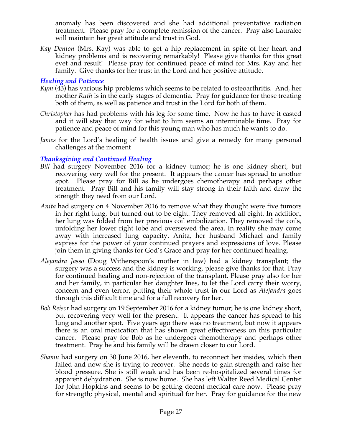anomaly has been discovered and she had additional preventative radiation treatment. Please pray for a complete remission of the cancer. Pray also Lauralee will maintain her great attitude and trust in God.

*Kay Denton* (Mrs. Kay) was able to get a hip replacement in spite of her heart and kidney problems and is recovering remarkably! Please give thanks for this great evet and result! Please pray for continued peace of mind for Mrs. Kay and her family. Give thanks for her trust in the Lord and her positive attitude.

## *Healing and Patience*

- *Kym* (43) has various hip problems which seems to be related to osteoarthritis. And, her mother *Ruth* is in the early stages of dementia. Pray for guidance for those treating both of them, as well as patience and trust in the Lord for both of them.
- *Christopher* has had problems with his leg for some time. Now he has to have it casted and it will stay that way for what to him seems an interminable time. Pray for patience and peace of mind for this young man who has much he wants to do.
- *James* for the Lord's healing of health issues and give a remedy for many personal challenges at the moment

## *Thanksgiving and Continued Healing*

- *Bill* had surgery November 2016 for a kidney tumor; he is one kidney short, but recovering very well for the present. It appears the cancer has spread to another spot. Please pray for Bill as he undergoes chemotherapy and perhaps other treatment. Pray Bill and his family will stay strong in their faith and draw the strength they need from our Lord.
- *Anita* had surgery on 4 November 2016 to remove what they thought were five tumors in her right lung, but turned out to be eight. They removed all eight. In addition, her lung was folded from her previous coil embolization. They removed the coils, unfolding her lower right lobe and oversewed the area. In reality she may come away with increased lung capacity. Anita, her husband Michael and family express for the power of your continued prayers and expressions of love. Please join them in giving thanks for God's Grace and pray for her continued healing.
- *Alejandra Jasso* (Doug Witherspoon's mother in law) had a kidney transplant; the surgery was a success and the kidney is working, please give thanks for that. Pray for continued healing and non-rejection of the transplant. Please pray also for her and her family, in particular her daughter Ines, to let the Lord carry their worry, concern and even terror, putting their whole trust in our Lord as *Alejandra* goes through this difficult time and for a full recovery for her.
- *Bob Reisor* had surgery on 19 September 2016 for a kidney tumor; he is one kidney short, but recovering very well for the present. It appears the cancer has spread to his lung and another spot. Five years ago there was no treatment, but now it appears there is an oral medication that has shown great effectiveness on this particular cancer. Please pray for Bob as he undergoes chemotherapy and perhaps other treatment. Pray he and his family will be drawn closer to our Lord.
- *Shamu* had surgery on 30 June 2016, her eleventh, to reconnect her insides, which then failed and now she is trying to recover. She needs to gain strength and raise her blood pressure. She is still weak and has been re-hospitalized several times for apparent dehydration. She is now home. She has left Walter Reed Medical Center for John Hopkins and seems to be getting decent medical care now. Please pray for strength; physical, mental and spiritual for her. Pray for guidance for the new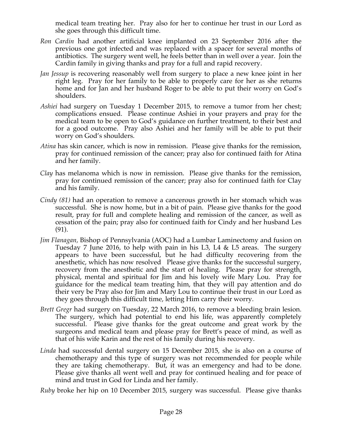medical team treating her. Pray also for her to continue her trust in our Lord as she goes through this difficult time.

- *Ron Cardin* had another artificial knee implanted on 23 September 2016 after the previous one got infected and was replaced with a spacer for several months of antibiotics. The surgery went well, he feels better than in well over a year. Join the Cardin family in giving thanks and pray for a full and rapid recovery.
- *Jan Jessup* is recovering reasonably well from surgery to place a new knee joint in her right leg. Pray for her family to be able to properly care for her as she returns home and for Jan and her husband Roger to be able to put their worry on God's shoulders.
- *Ashiei* had surgery on Tuesday 1 December 2015, to remove a tumor from her chest; complications ensued. Please continue Ashiei in your prayers and pray for the medical team to be open to God's guidance on further treatment, to their best and for a good outcome. Pray also Ashiei and her family will be able to put their worry on God's shoulders.
- *Atina* has skin cancer, which is now in remission. Please give thanks for the remission, pray for continued remission of the cancer; pray also for continued faith for Atina and her family.
- *Clay* has melanoma which is now in remission. Please give thanks for the remission, pray for continued remission of the cancer; pray also for continued faith for Clay and his family.
- *Cindy (81)* had an operation to remove a cancerous growth in her stomach which was successful. She is now home, but in a bit of pain. Please give thanks for the good result, pray for full and complete healing and remission of the cancer, as well as cessation of the pain; pray also for continued faith for Cindy and her husband Les (91).
- *Jim Flanagan,* Bishop of Pennsylvania (AOC) had a Lumbar Laminectomy and fusion on Tuesday 7 June 2016, to help with pain in his L3, L4 & L5 areas. The surgery appears to have been successful, but he had difficulty recovering from the anesthetic, which has now resolved Please give thanks for the successful surgery, recovery from the anesthetic and the start of healing. Please pray for strength, physical, mental and spiritual for Jim and his lovely wife Mary Lou. Pray for guidance for the medical team treating him, that they will pay attention and do their very be Pray also for Jim and Mary Lou to continue their trust in our Lord as they goes through this difficult time, letting Him carry their worry.
- *Brett Gregr* had surgery on Tuesday, 22 March 2016, to remove a bleeding brain lesion. The surgery, which had potential to end his life, was apparently completely successful. Please give thanks for the great outcome and great work by the surgeons and medical team and please pray for Brett's peace of mind, as well as that of his wife Karin and the rest of his family during his recovery.
- *Linda* had successful dental surgery on 15 December 2015, she is also on a course of chemotherapy and this type of surgery was not recommended for people while they are taking chemotherapy. But, it was an emergency and had to be done. Please give thanks all went well and pray for continued healing and for peace of mind and trust in God for Linda and her family.

*Ruby* broke her hip on 10 December 2015, surgery was successful. Please give thanks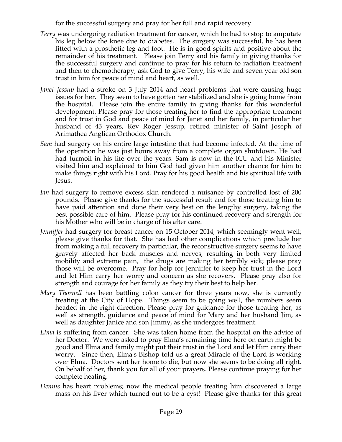for the successful surgery and pray for her full and rapid recovery.

- *Terry* was undergoing radiation treatment for cancer, which he had to stop to amputate his leg below the knee due to diabetes. The surgery was successful, he has been fitted with a prosthetic leg and foot. He is in good spirits and positive about the remainder of his treatment. Please join Terry and his family in giving thanks for the successful surgery and continue to pray for his return to radiation treatment and then to chemotherapy, ask God to give Terry, his wife and seven year old son trust in him for peace of mind and heart, as well.
- *Janet Jessup* had a stroke on 3 July 2014 and heart problems that were causing huge issues for her. They seem to have gotten her stabilized and she is going home from the hospital. Please join the entire family in giving thanks for this wonderful development. Please pray for those treating her to find the appropriate treatment and for trust in God and peace of mind for Janet and her family, in particular her husband of 43 years, Rev Roger Jessup, retired minister of Saint Joseph of Arimathea Anglican Orthodox Church.
- *Sam* had surgery on his entire large intestine that had become infected. At the time of the operation he was just hours away from a complete organ shutdown. He had had turmoil in his life over the years. Sam is now in the ICU and his Minister visited him and explained to him God had given him another chance for him to make things right with his Lord. Pray for his good health and his spiritual life with Jesus.
- *Ian* had surgery to remove excess skin rendered a nuisance by controlled lost of 200 pounds. Please give thanks for the successful result and for those treating him to have paid attention and done their very best on the lengthy surgery, taking the best possible care of him. Please pray for his continued recovery and strength for his Mother who will be in charge of his after care.
- *Jenniffer* had surgery for breast cancer on 15 October 2014, which seemingly went well; please give thanks for that. She has had other complications which preclude her from making a full recovery in particular, the reconstructive surgery seems to have gravely affected her back muscles and nerves, resulting in both very limited mobility and extreme pain, the drugs are making her terribly sick; please pray those will be overcome. Pray for help for Jenniffer to keep her trust in the Lord and let Him carry her worry and concern as she recovers. Please pray also for strength and courage for her family as they try their best to help her.
- *Mary Thornell* has been battling colon cancer for three years now, she is currently treating at the City of Hope. Things seem to be going well, the numbers seem headed in the right direction. Please pray for guidance for those treating her, as well as strength, guidance and peace of mind for Mary and her husband Jim, as well as daughter Janice and son Jimmy, as she undergoes treatment.
- *Elma* is suffering from cancer. She was taken home from the hospital on the advice of her Doctor. We were asked to pray Elma's remaining time here on earth might be good and Elma and family might put their trust in the Lord and let Him carry their worry. Since then, Elma's Bishop told us a great Miracle of the Lord is working over Elma. Doctors sent her home to die, but now she seems to be doing all right. On behalf of her, thank you for all of your prayers. Please continue praying for her complete healing.
- *Dennis* has heart problems; now the medical people treating him discovered a large mass on his liver which turned out to be a cyst! Please give thanks for this great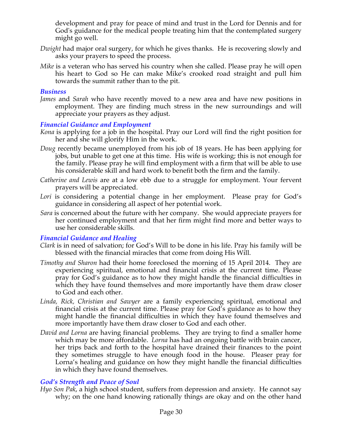development and pray for peace of mind and trust in the Lord for Dennis and for God's guidance for the medical people treating him that the contemplated surgery might go well.

- *Dwight* had major oral surgery, for which he gives thanks. He is recovering slowly and asks your prayers to speed the process.
- *Mike* is a veteran who has served his country when she called. Please pray he will open his heart to God so He can make Mike's crooked road straight and pull him towards the summit rather than to the pit.

#### *Business*

*James* and *Sarah* who have recently moved to a new area and have new positions in employment. They are finding much stress in the new surroundings and will appreciate your prayers as they adjust.

### *Financial Guidance and Employment*

- *Kona* is applying for a job in the hospital. Pray our Lord will find the right position for her and she will glorify Him in the work.
- *Doug* recently became unemployed from his job of 18 years. He has been applying for jobs, but unable to get one at this time. His wife is working; this is not enough for the family. Please pray he will find employment with a firm that will be able to use his considerable skill and hard work to benefit both the firm and the family.
- *Catherine and Lewis* are at a low ebb due to a struggle for employment. Your fervent prayers will be appreciated.
- *Lori* is considering a potential change in her employment. Please pray for God's guidance in considering all aspect of her potential work.
- *Sara* is concerned about the future with her company. She would appreciate prayers for her continued employment and that her firm might find more and better ways to use her considerable skills.

### *Financial Guidance and Healing*

- *Clark* is in need of salvation; for God's Will to be done in his life. Pray his family will be blessed with the financial miracles that come from doing His Will.
- *Timothy and Sharon* had their home foreclosed the morning of 15 April 2014. They are experiencing spiritual, emotional and financial crisis at the current time. Please pray for God's guidance as to how they might handle the financial difficulties in which they have found themselves and more importantly have them draw closer to God and each other.
- *Linda, Rick, Christian and Sawyer* are a family experiencing spiritual, emotional and financial crisis at the current time. Please pray for God's guidance as to how they might handle the financial difficulties in which they have found themselves and more importantly have them draw closer to God and each other.
- *David and Lorna* are having financial problems. They are trying to find a smaller home which may be more affordable. *Lorna* has had an ongoing battle with brain cancer, her trips back and forth to the hospital have drained their finances to the point they sometimes struggle to have enough food in the house. Pleaser pray for Lorna's healing and guidance on how they might handle the financial difficulties in which they have found themselves.

### *God's Strength and Peace of Soul*

*Hyo Son Pak*, a high school student, suffers from depression and anxiety. He cannot say why; on the one hand knowing rationally things are okay and on the other hand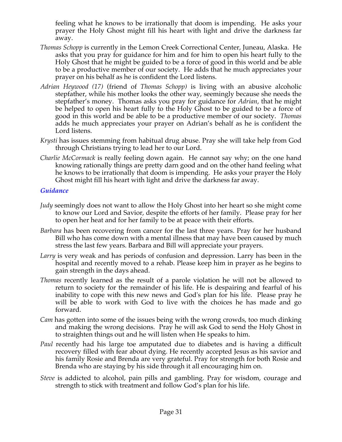feeling what he knows to be irrationally that doom is impending. He asks your prayer the Holy Ghost might fill his heart with light and drive the darkness far away.

- *Thomas Schopp* is currently in the Lemon Creek Correctional Center, Juneau, Alaska. He asks that you pray for guidance for him and for him to open his heart fully to the Holy Ghost that he might be guided to be a force of good in this world and be able to be a productive member of our society. He adds that he much appreciates your prayer on his behalf as he is confident the Lord listens.
- *Adrian Heywood (17)* (friend of *Thomas Schopp)* is living with an abusive alcoholic stepfather, while his mother looks the other way, seemingly because she needs the stepfather's money. Thomas asks you pray for guidance for *Adrian*, that he might be helped to open his heart fully to the Holy Ghost to be guided to be a force of good in this world and be able to be a productive member of our society. *Thomas* adds he much appreciates your prayer on Adrian's behalf as he is confident the Lord listens.
- *Krysti* has issues stemming from habitual drug abuse. Pray she will take help from God through Christians trying to lead her to our Lord.
- *Charlie McCormack* is really feeling down again. He cannot say why; on the one hand knowing rationally things are pretty darn good and on the other hand feeling what he knows to be irrationally that doom is impending. He asks your prayer the Holy Ghost might fill his heart with light and drive the darkness far away.

## *Guidance*

- *Judy* seemingly does not want to allow the Holy Ghost into her heart so she might come to know our Lord and Savior, despite the efforts of her family. Please pray for her to open her heat and for her family to be at peace with their efforts.
- *Barbara* has been recovering from cancer for the last three years. Pray for her husband Bill who has come down with a mental illness that may have been caused by much stress the last few years. Barbara and Bill will appreciate your prayers.
- *Larry* is very weak and has periods of confusion and depression. Larry has been in the hospital and recently moved to a rehab. Please keep him in prayer as he begins to gain strength in the days ahead.
- *Thomas* recently learned as the result of a parole violation he will not be allowed to return to society for the remainder of his life. He is despairing and fearful of his inability to cope with this new news and God's plan for his life. Please pray he will be able to work with God to live with the choices he has made and go forward.
- *Cam* has gotten into some of the issues being with the wrong crowds, too much dinking and making the wrong decisions. Pray he will ask God to send the Holy Ghost in to straighten things out and he will listen when He speaks to him.
- *Paul* recently had his large toe amputated due to diabetes and is having a difficult recovery filled with fear about dying. He recently accepted Jesus as his savior and his family Rosie and Brenda are very grateful. Pray for strength for both Rosie and Brenda who are staying by his side through it all encouraging him on.
- *Steve* is addicted to alcohol, pain pills and gambling. Pray for wisdom, courage and strength to stick with treatment and follow God's plan for his life.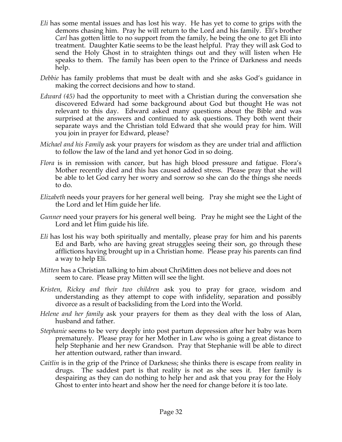- *Eli* has some mental issues and has lost his way. He has yet to come to grips with the demons chasing him. Pray he will return to the Lord and his family. Eli's brother *Carl* has gotten little to no support from the family, he being the one to get Eli into treatment. Daughter Katie seems to be the least helpful. Pray they will ask God to send the Holy Ghost in to straighten things out and they will listen when He speaks to them. The family has been open to the Prince of Darkness and needs help.
- *Debbie* has family problems that must be dealt with and she asks God's guidance in making the correct decisions and how to stand.
- *Edward (45)* had the opportunity to meet with a Christian during the conversation she discovered Edward had some background about God but thought He was not relevant to this day. Edward asked many questions about the Bible and was surprised at the answers and continued to ask questions. They both went their separate ways and the Christian told Edward that she would pray for him. Will you join in prayer for Edward, please?
- *Michael and his Family* ask your prayers for wisdom as they are under trial and affliction to follow the law of the land and yet honor God in so doing.
- *Flora* is in remission with cancer, but has high blood pressure and fatigue. Flora's Mother recently died and this has caused added stress. Please pray that she will be able to let God carry her worry and sorrow so she can do the things she needs to do.
- *Elizabeth* needs your prayers for her general well being. Pray she might see the Light of the Lord and let Him guide her life.
- *Gunner* need your prayers for his general well being. Pray he might see the Light of the Lord and let Him guide his life.
- *Eli* has lost his way both spiritually and mentally, please pray for him and his parents Ed and Barb, who are having great struggles seeing their son, go through these afflictions having brought up in a Christian home. Please pray his parents can find a way to help Eli.
- *Mitten* has a Christian talking to him about ChriMitten does not believe and does not seem to care. Please pray Mitten will see the light.
- *Kristen, Rickey and their two children* ask you to pray for grace, wisdom and understanding as they attempt to cope with infidelity, separation and possibly divorce as a result of backsliding from the Lord into the World.
- *Helene and her family* ask your prayers for them as they deal with the loss of Alan, husband and father.
- *Stephanie* seems to be very deeply into post partum depression after her baby was born prematurely. Please pray for her Mother in Law who is going a great distance to help Stephanie and her new Grandson. Pray that Stephanie will be able to direct her attention outward, rather than inward.
- *Caitlin* is in the grip of the Prince of Darkness; she thinks there is escape from reality in drugs. The saddest part is that reality is not as she sees it. Her family is despairing as they can do nothing to help her and ask that you pray for the Holy Ghost to enter into heart and show her the need for change before it is too late.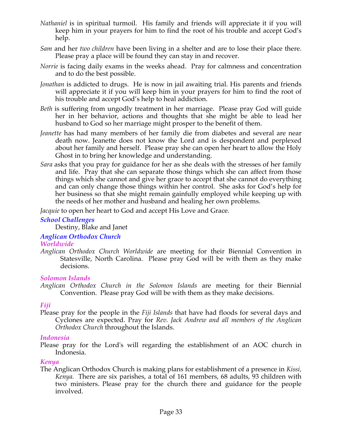- *Nathaniel* is in spiritual turmoil. His family and friends will appreciate it if you will keep him in your prayers for him to find the root of his trouble and accept God's help.
- *Sam* and her *two children* have been living in a shelter and are to lose their place there. Please pray a place will be found they can stay in and recover.
- *Norrie* is facing daily exams in the weeks ahead. Pray for calmness and concentration and to do the best possible.
- *Jonathan* is addicted to drugs. He is now in jail awaiting trial. His parents and friends will appreciate it if you will keep him in your prayers for him to find the root of his trouble and accept God's help to heal addiction.
- *Beth* is suffering from ungodly treatment in her marriage. Please pray God will guide her in her behavior, actions and thoughts that she might be able to lead her husband to God so her marriage might prosper to the benefit of them.
- *Jeanette* has had many members of her family die from diabetes and several are near death now. Jeanette does not know the Lord and is despondent and perplexed about her family and herself. Please pray she can open her heart to allow the Holy Ghost in to bring her knowledge and understanding.
- *Sara* asks that you pray for guidance for her as she deals with the stresses of her family and life. Pray that she can separate those things which she can affect from those things which she cannot and give her grace to accept that she cannot do everything and can only change those things within her control. She asks for God's help for her business so that she might remain gainfully employed while keeping up with the needs of her mother and husband and healing her own problems.

*Jacquie* to open her heart to God and accept His Love and Grace.

## *School Challenges*

Destiny, Blake and Janet

## *Anglican Orthodox Church*

## *Worldwide*

*Anglican Orthodox Church Worldwide* are meeting for their Biennial Convention in Statesville, North Carolina. Please pray God will be with them as they make decisions.

## *Solomon Islands*

# *Fiji*

Please pray for the people in the *Fiji Islands* that have had floods for several days and Cyclones are expected. Pray for *Rev. Jack Andrew and all members of the Anglican Orthodox Church* throughout the Islands.

# *Indonesia*

Please pray for the Lord's will regarding the establishment of an AOC church in Indonesia.

## *Kenya*

The Anglican Orthodox Church is making plans for establishment of a presence in *Kissi, Kenya.* There are six parishes, a total of 161 members, 68 adults, 93 children with two ministers. Please pray for the church there and guidance for the people involved.

*Anglican Orthodox Church in the Solomon Islands* are meeting for their Biennial Convention. Please pray God will be with them as they make decisions.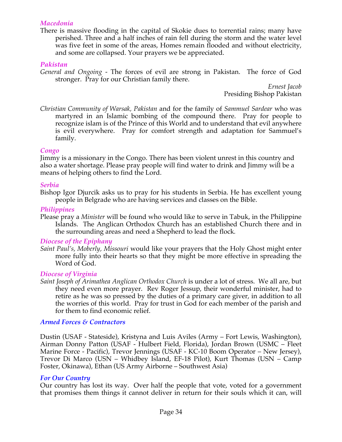#### *Macedonia*

There is massive flooding in the capital of Skokie dues to torrential rains; many have perished. Three and a half inches of rain fell during the storm and the water level was five feet in some of the areas, Homes remain flooded and without electricity, and some are collapsed. Your prayers we be appreciated.

#### *Pakistan*

*General and Ongoing -* The forces of evil are strong in Pakistan. The force of God stronger. Pray for our Christian family there.

*Ernest Jacob* Presiding Bishop Pakistan

*Christian Community of Warsak, Pakistan* and for the family of *Sammuel Sardear* who was martyred in an Islamic bombing of the compound there. Pray for people to recognize islam is of the Prince of this World and to understand that evil anywhere is evil everywhere. Pray for comfort strength and adaptation for Sammuel's family.

#### *Congo*

Jimmy is a missionary in the Congo. There has been violent unrest in this country and also a water shortage. Please pray people will find water to drink and Jimmy will be a means of helping others to find the Lord.

#### *Serbia*

Bishop Igor Djurcik asks us to pray for his students in Serbia. He has excellent young people in Belgrade who are having services and classes on the Bible.

#### *Philippines*

Please pray a *Minister* will be found who would like to serve in Tabuk, in the Philippine Islands. The Anglican Orthodox Church has an established Church there and in the surrounding areas and need a Shepherd to lead the flock*.*

#### *Diocese of the Epiphany*

*Saint Paul's, Moberly, Missouri* would like your prayers that the Holy Ghost might enter more fully into their hearts so that they might be more effective in spreading the Word of God.

### *Diocese of Virginia*

*Saint Joseph of Arimathea Anglican Orthodox Church* is under a lot of stress. We all are, but they need even more prayer. Rev Roger Jessup, their wonderful minister, had to retire as he was so pressed by the duties of a primary care giver, in addition to all the worries of this world. Pray for trust in God for each member of the parish and for them to find economic relief.

### *Armed Forces & Contractors*

Dustin (USAF - Stateside), Kristyna and Luis Aviles (Army – Fort Lewis, Washington), Airman Donny Patton (USAF - Hulbert Field, Florida), Jordan Brown (USMC – Fleet Marine Force - Pacific), Trevor Jennings (USAF - KC-10 Boom Operator – New Jersey), Trevor Di Marco (USN – Whidbey Island, EF-18 Pilot), Kurt Thomas (USN – Camp Foster, Okinawa), Ethan (US Army Airborne – Southwest Asia)

#### *For Our Country*

Our country has lost its way. Over half the people that vote, voted for a government that promises them things it cannot deliver in return for their souls which it can, will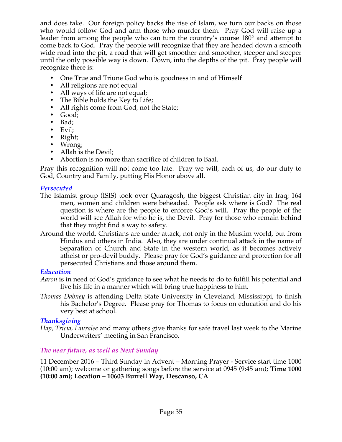and does take. Our foreign policy backs the rise of Islam, we turn our backs on those who would follow God and arm those who murder them. Pray God will raise up a leader from among the people who can turn the country's course 180° and attempt to come back to God. Pray the people will recognize that they are headed down a smooth wide road into the pit, a road that will get smoother and smoother, steeper and steeper until the only possible way is down. Down, into the depths of the pit. Pray people will recognize there is:

- One True and Triune God who is goodness in and of Himself
- All religions are not equal
- All ways of life are not equal;
- The Bible holds the Key to Life;
- All rights come from God, not the State;
- Good;
- Bad;
- Evil;
- Right;
- Wrong;
- Allah is the Devil:
- Abortion is no more than sacrifice of children to Baal.

Pray this recognition will not come too late. Pray we will, each of us, do our duty to God, Country and Family, putting His Honor above all.

### *Persecuted*

- The Islamist group (ISIS) took over Quaragosh, the biggest Christian city in Iraq; 164 men, women and children were beheaded. People ask where is God? The real question is where are the people to enforce God's will. Pray the people of the world will see Allah for who he is, the Devil. Pray for those who remain behind that they might find a way to safety.
- Around the world, Christians are under attack, not only in the Muslim world, but from Hindus and others in India. Also, they are under continual attack in the name of Separation of Church and State in the western world, as it becomes actively atheist or pro-devil buddy. Please pray for God's guidance and protection for all persecuted Christians and those around them.

### *Education*

- *Aaron* is in need of God's guidance to see what he needs to do to fulfill his potential and live his life in a manner which will bring true happiness to him.
- *Thomas Dabney* is attending Delta State University in Cleveland, Mississippi, to finish his Bachelor's Degree. Please pray for Thomas to focus on education and do his very best at school.

### *Thanksgiving*

*Hap, Tricia, Lauralee* and many others give thanks for safe travel last week to the Marine Underwriters' meeting in San Francisco.

### *The near future, as well as Next Sunday*

11 December 2016 – Third Sunday in Advent – Morning Prayer - Service start time 1000 (10:00 am); welcome or gathering songs before the service at 0945 (9:45 am); **Time 1000 (10:00 am); Location – 10603 Burrell Way, Descanso, CA**